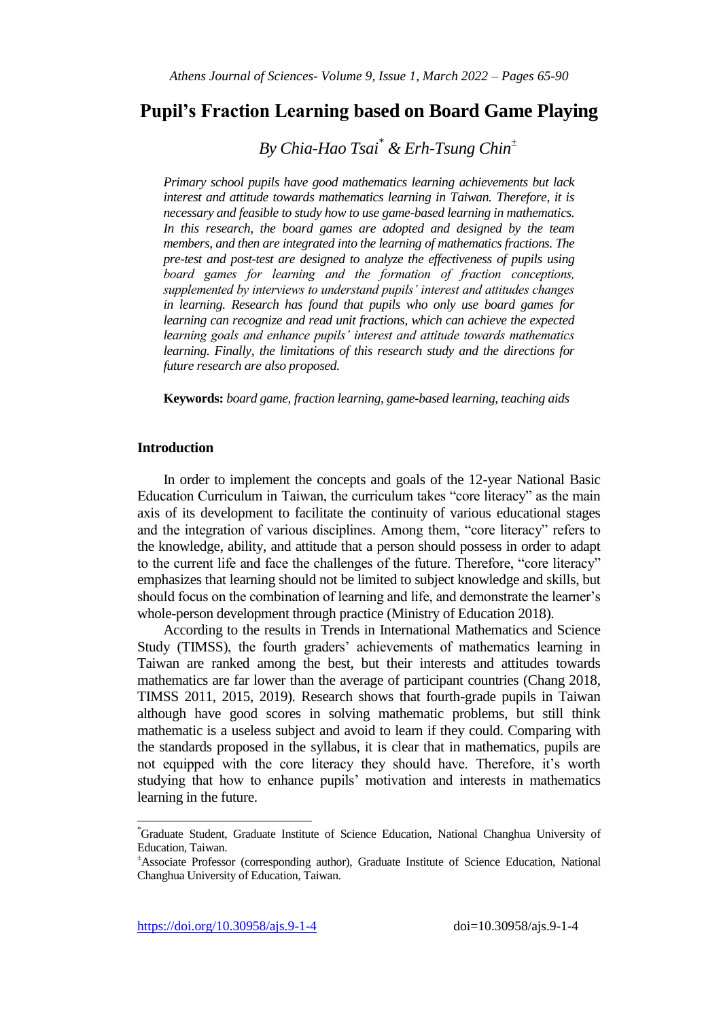# **Pupil's Fraction Learning based on Board Game Playing**

*By Chia-Hao Tsai\* & Erh-Tsung Chin<sup>±</sup>*

*Primary school pupils have good mathematics learning achievements but lack interest and attitude towards mathematics learning in Taiwan. Therefore, it is necessary and feasible to study how to use game-based learning in mathematics. In this research, the board games are adopted and designed by the team members, and then are integrated into the learning of mathematics fractions. The pre-test and post-test are designed to analyze the effectiveness of pupils using board games for learning and the formation of fraction conceptions, supplemented by interviews to understand pupils" interest and attitudes changes in learning. Research has found that pupils who only use board games for learning can recognize and read unit fractions, which can achieve the expected learning goals and enhance pupils" interest and attitude towards mathematics learning. Finally, the limitations of this research study and the directions for future research are also proposed.*

**Keywords:** *board game, fraction learning, game-based learning, teaching aids*

## **Introduction**

In order to implement the concepts and goals of the 12-year National Basic Education Curriculum in Taiwan, the curriculum takes "core literacy" as the main axis of its development to facilitate the continuity of various educational stages and the integration of various disciplines. Among them, "core literacy" refers to the knowledge, ability, and attitude that a person should possess in order to adapt to the current life and face the challenges of the future. Therefore, "core literacy" emphasizes that learning should not be limited to subject knowledge and skills, but should focus on the combination of learning and life, and demonstrate the learner's whole-person development through practice (Ministry of Education 2018).

According to the results in Trends in International Mathematics and Science Study (TIMSS), the fourth graders' achievements of mathematics learning in Taiwan are ranked among the best, but their interests and attitudes towards mathematics are far lower than the average of participant countries (Chang 2018, TIMSS 2011, 2015, 2019). Research shows that fourth-grade pupils in Taiwan although have good scores in solving mathematic problems, but still think mathematic is a useless subject and avoid to learn if they could. Comparing with the standards proposed in the syllabus, it is clear that in mathematics, pupils are not equipped with the core literacy they should have. Therefore, it"s worth studying that how to enhance pupils" motivation and interests in mathematics learning in the future.

<sup>\*</sup>Graduate Student, Graduate Institute of Science Education, National Changhua University of Education, Taiwan.

<sup>±</sup>Associate Professor (corresponding author), Graduate Institute of Science Education, National Changhua University of Education, Taiwan.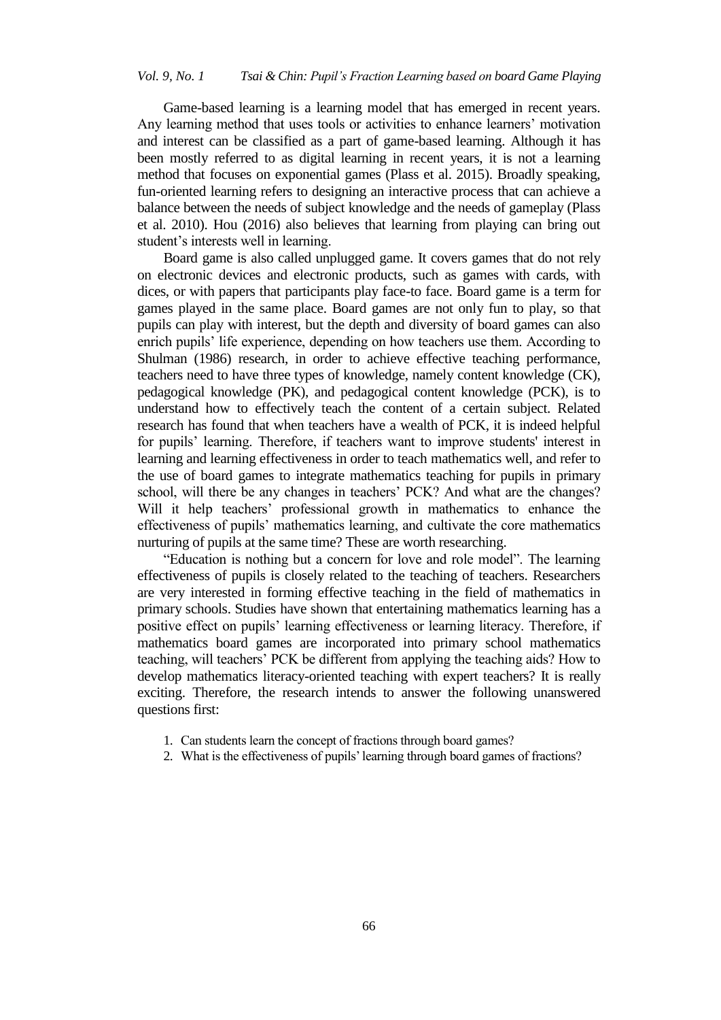Game-based learning is a learning model that has emerged in recent years. Any learning method that uses tools or activities to enhance learners' motivation and interest can be classified as a part of game-based learning. Although it has been mostly referred to as digital learning in recent years, it is not a learning method that focuses on exponential games (Plass et al. 2015). Broadly speaking, fun-oriented learning refers to designing an interactive process that can achieve a balance between the needs of subject knowledge and the needs of gameplay (Plass et al. 2010). Hou (2016) also believes that learning from playing can bring out student's interests well in learning.

Board game is also called unplugged game. It covers games that do not rely on electronic devices and electronic products, such as games with cards, with dices, or with papers that participants play face-to face. Board game is a term for games played in the same place. Board games are not only fun to play, so that pupils can play with interest, but the depth and diversity of board games can also enrich pupils" life experience, depending on how teachers use them. According to Shulman (1986) research, in order to achieve effective teaching performance, teachers need to have three types of knowledge, namely content knowledge (CK), pedagogical knowledge (PK), and pedagogical content knowledge (PCK), is to understand how to effectively teach the content of a certain subject. Related research has found that when teachers have a wealth of PCK, it is indeed helpful for pupils" learning. Therefore, if teachers want to improve students' interest in learning and learning effectiveness in order to teach mathematics well, and refer to the use of board games to integrate mathematics teaching for pupils in primary school, will there be any changes in teachers' PCK? And what are the changes? Will it help teachers' professional growth in mathematics to enhance the effectiveness of pupils" mathematics learning, and cultivate the core mathematics nurturing of pupils at the same time? These are worth researching.

"Education is nothing but a concern for love and role model". The learning effectiveness of pupils is closely related to the teaching of teachers. Researchers are very interested in forming effective teaching in the field of mathematics in primary schools. Studies have shown that entertaining mathematics learning has a positive effect on pupils" learning effectiveness or learning literacy. Therefore, if mathematics board games are incorporated into primary school mathematics teaching, will teachers" PCK be different from applying the teaching aids? How to develop mathematics literacy-oriented teaching with expert teachers? It is really exciting. Therefore, the research intends to answer the following unanswered questions first:

- 1. Can students learn the concept of fractions through board games?
- 2. What is the effectiveness of pupils" learning through board games of fractions?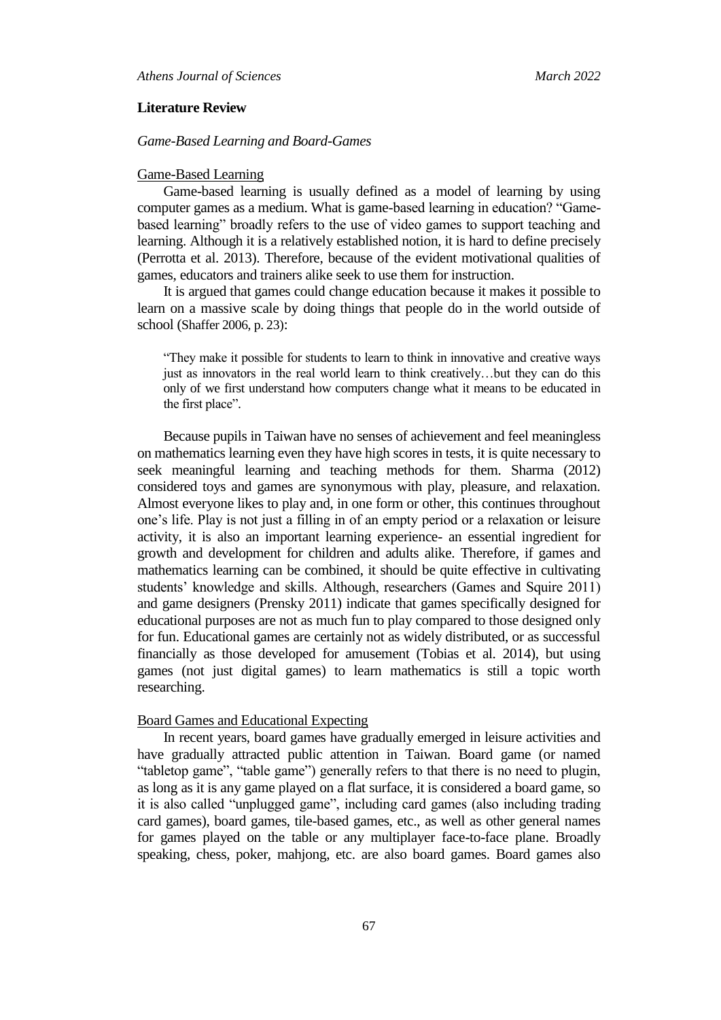#### **Literature Review**

### *Game-Based Learning and Board-Games*

#### Game-Based Learning

Game-based learning is usually defined as a model of learning by using computer games as a medium. What is game-based learning in education? "Gamebased learning" broadly refers to the use of video games to support teaching and learning. Although it is a relatively established notion, it is hard to define precisely (Perrotta et al. 2013). Therefore, because of the evident motivational qualities of games, educators and trainers alike seek to use them for instruction.

It is argued that games could change education because it makes it possible to learn on a massive scale by doing things that people do in the world outside of school (Shaffer 2006, p. 23):

"They make it possible for students to learn to think in innovative and creative ways just as innovators in the real world learn to think creatively…but they can do this only of we first understand how computers change what it means to be educated in the first place".

Because pupils in Taiwan have no senses of achievement and feel meaningless on mathematics learning even they have high scores in tests, it is quite necessary to seek meaningful learning and teaching methods for them. Sharma (2012) considered toys and games are synonymous with play, pleasure, and relaxation. Almost everyone likes to play and, in one form or other, this continues throughout one"s life. Play is not just a filling in of an empty period or a relaxation or leisure activity, it is also an important learning experience- an essential ingredient for growth and development for children and adults alike. Therefore, if games and mathematics learning can be combined, it should be quite effective in cultivating students" knowledge and skills. Although, researchers (Games and Squire 2011) and game designers (Prensky 2011) indicate that games specifically designed for educational purposes are not as much fun to play compared to those designed only for fun. Educational games are certainly not as widely distributed, or as successful financially as those developed for amusement (Tobias et al. 2014), but using games (not just digital games) to learn mathematics is still a topic worth researching.

#### Board Games and Educational Expecting

In recent years, board games have gradually emerged in leisure activities and have gradually attracted public attention in Taiwan. Board game (or named "tabletop game", "table game") generally refers to that there is no need to plugin, as long as it is any game played on a flat surface, it is considered a board game, so it is also called "unplugged game", including card games (also including trading card games), board games, tile-based games, etc., as well as other general names for games played on the table or any multiplayer face-to-face plane. Broadly speaking, chess, poker, mahjong, etc. are also board games. Board games also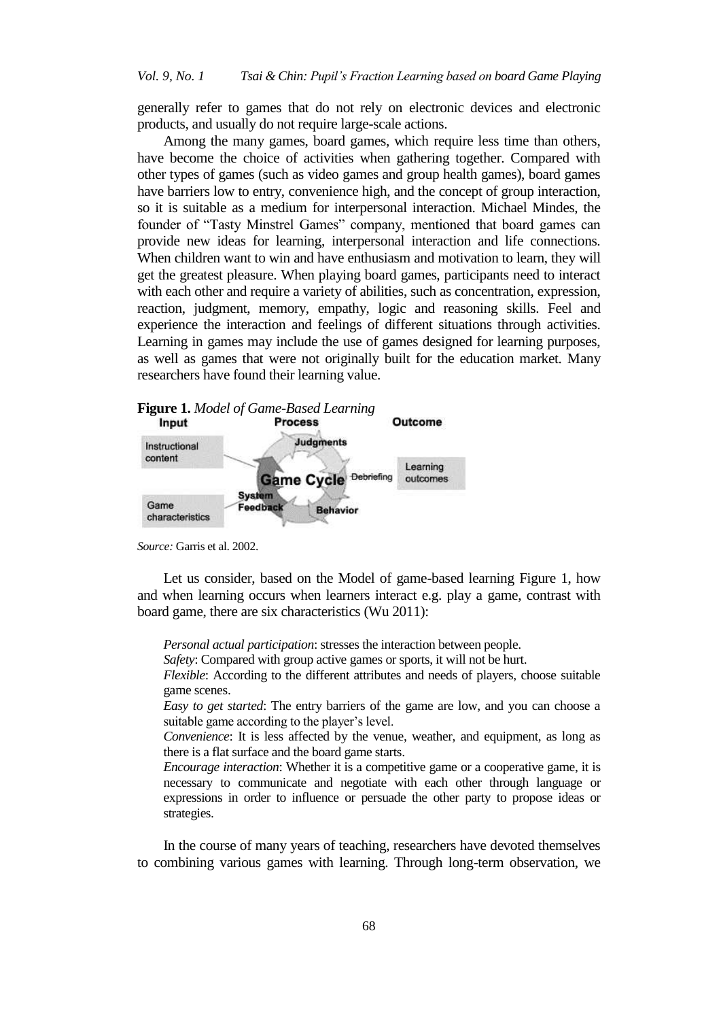generally refer to games that do not rely on electronic devices and electronic products, and usually do not require large-scale actions.

Among the many games, board games, which require less time than others, have become the choice of activities when gathering together. Compared with other types of games (such as video games and group health games), board games have barriers low to entry, convenience high, and the concept of group interaction, so it is suitable as a medium for interpersonal interaction. Michael Mindes, the founder of "Tasty Minstrel Games" company, mentioned that board games can provide new ideas for learning, interpersonal interaction and life connections. When children want to win and have enthusiasm and motivation to learn, they will get the greatest pleasure. When playing board games, participants need to interact with each other and require a variety of abilities, such as concentration, expression, reaction, judgment, memory, empathy, logic and reasoning skills. Feel and experience the interaction and feelings of different situations through activities. Learning in games may include the use of games designed for learning purposes, as well as games that were not originally built for the education market. Many researchers have found their learning value.



*Source:* Garris et al. 2002.

Let us consider, based on the Model of game-based learning Figure 1, how and when learning occurs when learners interact e.g. play a game, contrast with board game, there are six characteristics (Wu 2011):

*Personal actual participation*: stresses the interaction between people.

*Safety*: Compared with group active games or sports, it will not be hurt.

*Flexible*: According to the different attributes and needs of players, choose suitable game scenes.

*Easy to get started*: The entry barriers of the game are low, and you can choose a suitable game according to the player's level.

*Convenience*: It is less affected by the venue, weather, and equipment, as long as there is a flat surface and the board game starts.

*Encourage interaction*: Whether it is a competitive game or a cooperative game, it is necessary to communicate and negotiate with each other through language or expressions in order to influence or persuade the other party to propose ideas or strategies.

In the course of many years of teaching, researchers have devoted themselves to combining various games with learning. Through long-term observation, we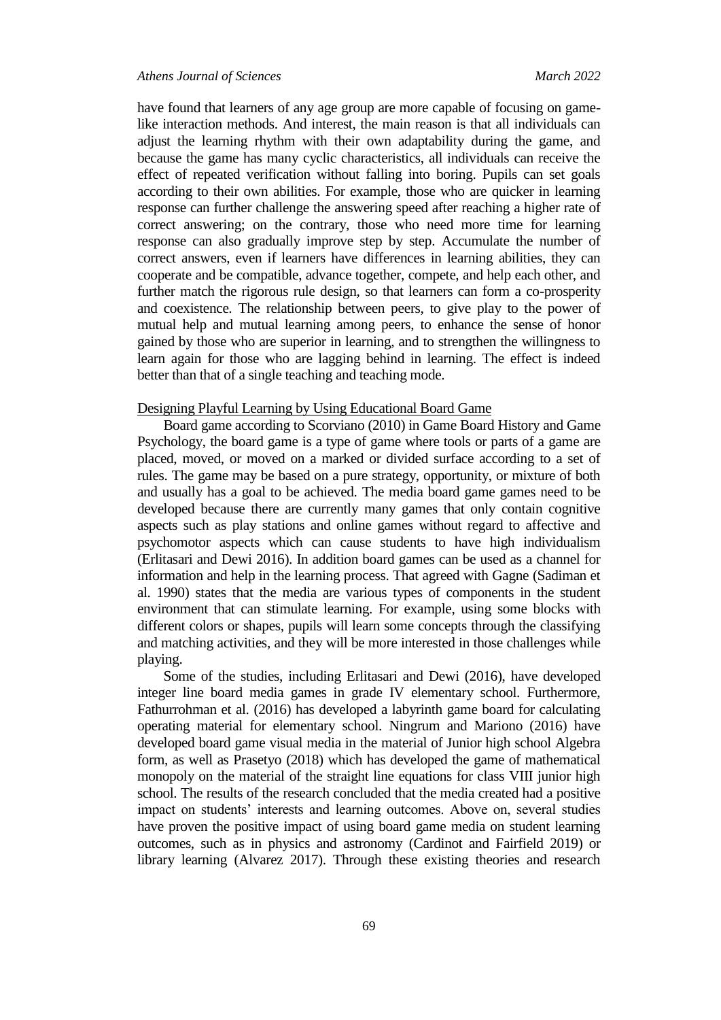#### *Athens Journal of Sciences March 2022*

have found that learners of any age group are more capable of focusing on gamelike interaction methods. And interest, the main reason is that all individuals can adjust the learning rhythm with their own adaptability during the game, and because the game has many cyclic characteristics, all individuals can receive the effect of repeated verification without falling into boring. Pupils can set goals according to their own abilities. For example, those who are quicker in learning response can further challenge the answering speed after reaching a higher rate of correct answering; on the contrary, those who need more time for learning response can also gradually improve step by step. Accumulate the number of correct answers, even if learners have differences in learning abilities, they can cooperate and be compatible, advance together, compete, and help each other, and further match the rigorous rule design, so that learners can form a co-prosperity and coexistence. The relationship between peers, to give play to the power of mutual help and mutual learning among peers, to enhance the sense of honor gained by those who are superior in learning, and to strengthen the willingness to learn again for those who are lagging behind in learning. The effect is indeed better than that of a single teaching and teaching mode.

#### Designing Playful Learning by Using Educational Board Game

Board game according to Scorviano (2010) in Game Board History and Game Psychology, the board game is a type of game where tools or parts of a game are placed, moved, or moved on a marked or divided surface according to a set of rules. The game may be based on a pure strategy, opportunity, or mixture of both and usually has a goal to be achieved. The media board game games need to be developed because there are currently many games that only contain cognitive aspects such as play stations and online games without regard to affective and psychomotor aspects which can cause students to have high individualism (Erlitasari and Dewi 2016). In addition board games can be used as a channel for information and help in the learning process. That agreed with Gagne (Sadiman et al. 1990) states that the media are various types of components in the student environment that can stimulate learning. For example, using some blocks with different colors or shapes, pupils will learn some concepts through the classifying and matching activities, and they will be more interested in those challenges while playing.

Some of the studies, including Erlitasari and Dewi (2016), have developed integer line board media games in grade IV elementary school. Furthermore, Fathurrohman et al. (2016) has developed a labyrinth game board for calculating operating material for elementary school. Ningrum and Mariono (2016) have developed board game visual media in the material of Junior high school Algebra form, as well as Prasetyo (2018) which has developed the game of mathematical monopoly on the material of the straight line equations for class VIII junior high school. The results of the research concluded that the media created had a positive impact on students' interests and learning outcomes. Above on, several studies have proven the positive impact of using board game media on student learning outcomes, such as in physics and astronomy (Cardinot and Fairfield 2019) or library learning (Alvarez 2017). Through these existing theories and research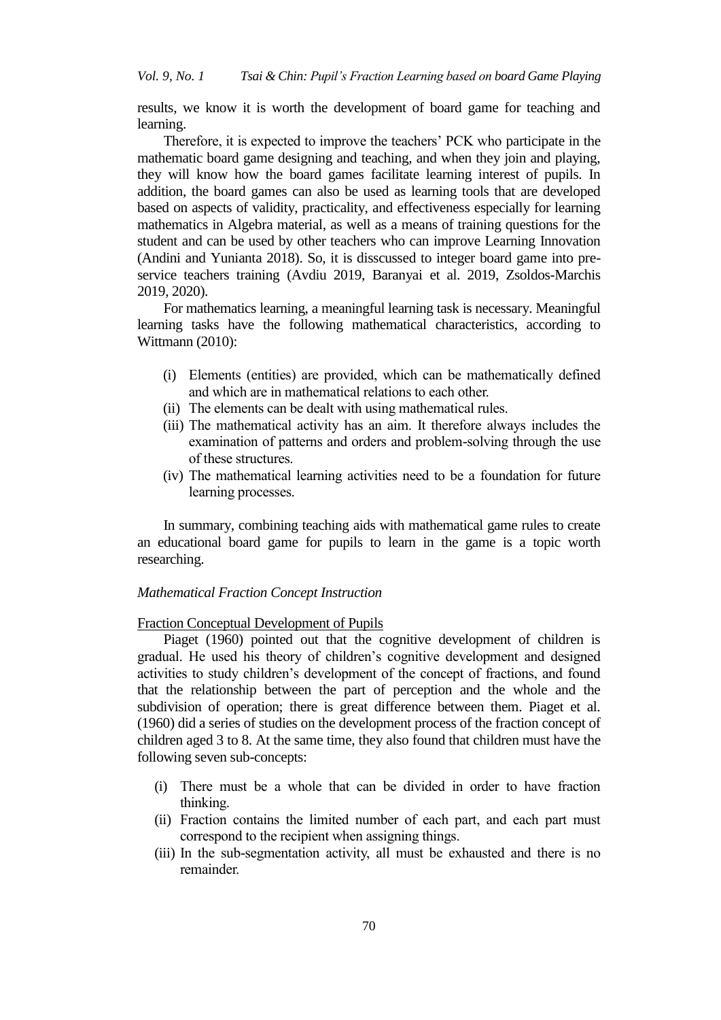results, we know it is worth the development of board game for teaching and learning.

Therefore, it is expected to improve the teachers' PCK who participate in the mathematic board game designing and teaching, and when they join and playing, they will know how the board games facilitate learning interest of pupils. In addition, the board games can also be used as learning tools that are developed based on aspects of validity, practicality, and effectiveness especially for learning mathematics in Algebra material, as well as a means of training questions for the student and can be used by other teachers who can improve Learning Innovation (Andini and Yunianta 2018). So, it is disscussed to integer board game into preservice teachers training (Avdiu 2019, Baranyai et al. 2019, Zsoldos-Marchis 2019, 2020).

For mathematics learning, a meaningful learning task is necessary. Meaningful learning tasks have the following mathematical characteristics, according to Wittmann (2010):

- (i) Elements (entities) are provided, which can be mathematically defined and which are in mathematical relations to each other.
- (ii) The elements can be dealt with using mathematical rules.
- (iii) The mathematical activity has an aim. It therefore always includes the examination of patterns and orders and problem-solving through the use of these structures.
- (iv) The mathematical learning activities need to be a foundation for future learning processes.

In summary, combining teaching aids with mathematical game rules to create an educational board game for pupils to learn in the game is a topic worth researching.

### *Mathematical Fraction Concept Instruction*

#### Fraction Conceptual Development of Pupils

Piaget (1960) pointed out that the cognitive development of children is gradual. He used his theory of children"s cognitive development and designed activities to study children"s development of the concept of fractions, and found that the relationship between the part of perception and the whole and the subdivision of operation; there is great difference between them. Piaget et al. (1960) did a series of studies on the development process of the fraction concept of children aged 3 to 8. At the same time, they also found that children must have the following seven sub-concepts:

- (i) There must be a whole that can be divided in order to have fraction thinking.
- (ii) Fraction contains the limited number of each part, and each part must correspond to the recipient when assigning things.
- (iii) In the sub-segmentation activity, all must be exhausted and there is no remainder.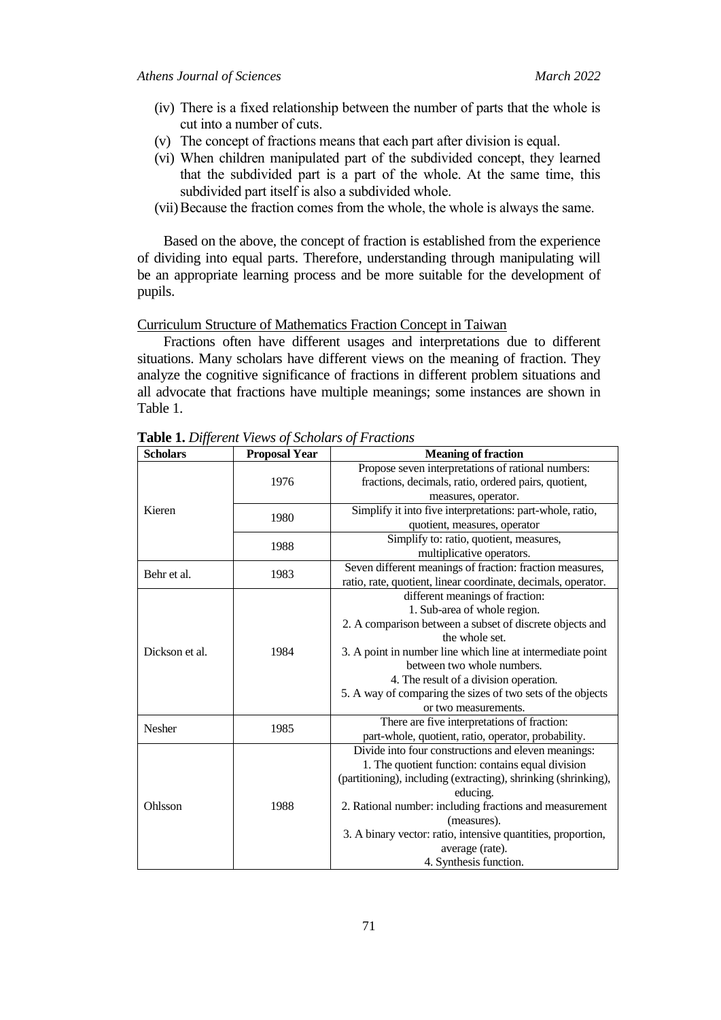- (iv) There is a fixed relationship between the number of parts that the whole is cut into a number of cuts.
- (v) The concept of fractions means that each part after division is equal.
- (vi) When children manipulated part of the subdivided concept, they learned that the subdivided part is a part of the whole. At the same time, this subdivided part itself is also a subdivided whole.
- (vii)Because the fraction comes from the whole, the whole is always the same.

Based on the above, the concept of fraction is established from the experience of dividing into equal parts. Therefore, understanding through manipulating will be an appropriate learning process and be more suitable for the development of pupils.

#### Curriculum Structure of Mathematics Fraction Concept in Taiwan

Fractions often have different usages and interpretations due to different situations. Many scholars have different views on the meaning of fraction. They analyze the cognitive significance of fractions in different problem situations and all advocate that fractions have multiple meanings; some instances are shown in Table 1.

| <b>Scholars</b> | <b>Proposal Year</b>                                                        | <b>Meaning of fraction</b>                                                                                                                                                                                     |  |  |  |  |  |
|-----------------|-----------------------------------------------------------------------------|----------------------------------------------------------------------------------------------------------------------------------------------------------------------------------------------------------------|--|--|--|--|--|
|                 |                                                                             | Propose seven interpretations of rational numbers:                                                                                                                                                             |  |  |  |  |  |
|                 | 1976                                                                        | fractions, decimals, ratio, ordered pairs, quotient,                                                                                                                                                           |  |  |  |  |  |
|                 |                                                                             | measures, operator.                                                                                                                                                                                            |  |  |  |  |  |
| Kieren          | 1980                                                                        | Simplify it into five interpretations: part-whole, ratio,                                                                                                                                                      |  |  |  |  |  |
|                 |                                                                             | quotient, measures, operator                                                                                                                                                                                   |  |  |  |  |  |
|                 | 1988                                                                        | Simplify to: ratio, quotient, measures,                                                                                                                                                                        |  |  |  |  |  |
|                 |                                                                             | multiplicative operators.                                                                                                                                                                                      |  |  |  |  |  |
| Behr et al.     | 1983                                                                        | Seven different meanings of fraction: fraction measures,                                                                                                                                                       |  |  |  |  |  |
|                 |                                                                             | ratio, rate, quotient, linear coordinate, decimals, operator.<br>different meanings of fraction:<br>1. Sub-area of whole region.<br>2. A comparison between a subset of discrete objects and<br>the whole set. |  |  |  |  |  |
|                 |                                                                             |                                                                                                                                                                                                                |  |  |  |  |  |
|                 |                                                                             |                                                                                                                                                                                                                |  |  |  |  |  |
|                 |                                                                             |                                                                                                                                                                                                                |  |  |  |  |  |
|                 |                                                                             |                                                                                                                                                                                                                |  |  |  |  |  |
| Dickson et al.  | 1984                                                                        | 3. A point in number line which line at intermediate point                                                                                                                                                     |  |  |  |  |  |
|                 |                                                                             | between two whole numbers.                                                                                                                                                                                     |  |  |  |  |  |
|                 |                                                                             | 4. The result of a division operation.                                                                                                                                                                         |  |  |  |  |  |
|                 |                                                                             | 5. A way of comparing the sizes of two sets of the objects                                                                                                                                                     |  |  |  |  |  |
|                 | or two measurements.<br>There are five interpretations of fraction:<br>1985 |                                                                                                                                                                                                                |  |  |  |  |  |
| <b>Nesher</b>   |                                                                             |                                                                                                                                                                                                                |  |  |  |  |  |
|                 |                                                                             | part-whole, quotient, ratio, operator, probability.                                                                                                                                                            |  |  |  |  |  |
|                 |                                                                             | Divide into four constructions and eleven meanings:                                                                                                                                                            |  |  |  |  |  |
|                 |                                                                             | 1. The quotient function: contains equal division                                                                                                                                                              |  |  |  |  |  |
|                 |                                                                             | (partitioning), including (extracting), shrinking (shrinking),                                                                                                                                                 |  |  |  |  |  |
|                 |                                                                             | educing.                                                                                                                                                                                                       |  |  |  |  |  |
| Ohlsson         | 1988                                                                        | 2. Rational number: including fractions and measurement                                                                                                                                                        |  |  |  |  |  |
|                 |                                                                             | (measures).                                                                                                                                                                                                    |  |  |  |  |  |
|                 |                                                                             | 3. A binary vector: ratio, intensive quantities, proportion,                                                                                                                                                   |  |  |  |  |  |
|                 |                                                                             | average (rate).                                                                                                                                                                                                |  |  |  |  |  |
|                 |                                                                             | 4. Synthesis function.                                                                                                                                                                                         |  |  |  |  |  |

**Table 1.** *Different Views of Scholars of Fractions*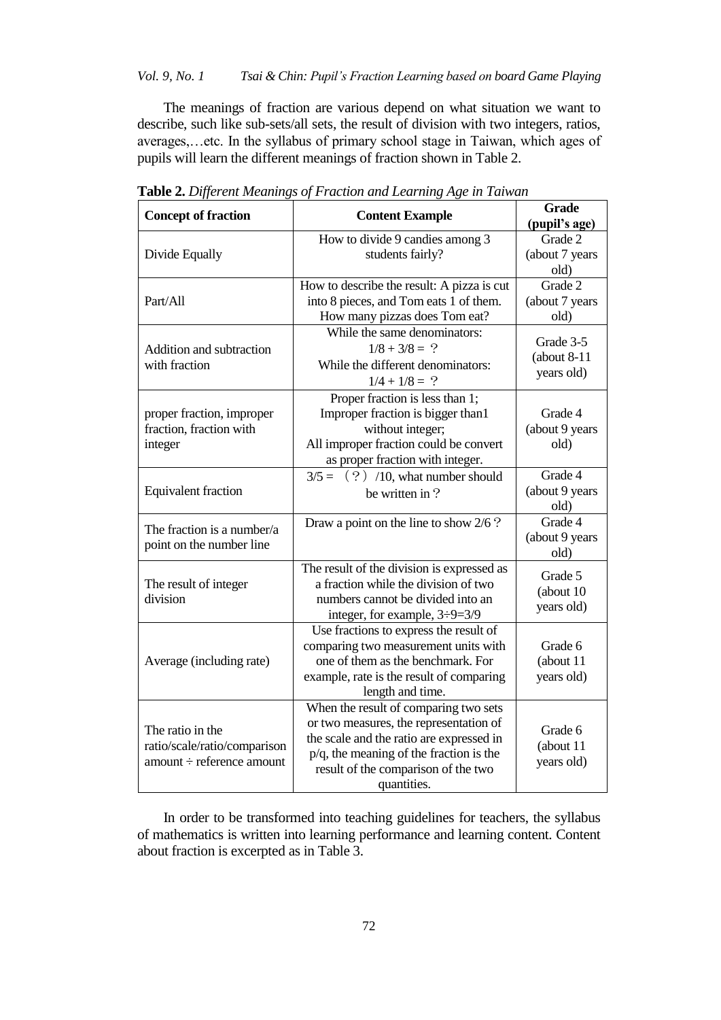# *Vol. 9, No. 1 Tsai & Chin: Pupil"s Fraction Learning based on board Game Playing*

The meanings of fraction are various depend on what situation we want to describe, such like sub-sets/all sets, the result of division with two integers, ratios, averages,…etc. In the syllabus of primary school stage in Taiwan, which ages of pupils will learn the different meanings of fraction shown in Table 2.

| <b>Concept of fraction</b>                                                    | <b>Content Example</b>                                                                                                                                                                                                          | <b>Grade</b><br>(pupil's age)             |
|-------------------------------------------------------------------------------|---------------------------------------------------------------------------------------------------------------------------------------------------------------------------------------------------------------------------------|-------------------------------------------|
| Divide Equally                                                                | How to divide 9 candies among 3<br>students fairly?                                                                                                                                                                             | Grade 2<br>(about 7 years<br>old)         |
| Part/All                                                                      | How to describe the result: A pizza is cut<br>into 8 pieces, and Tom eats 1 of them.<br>How many pizzas does Tom eat?                                                                                                           | Grade 2<br>(about 7 years<br>old)         |
| Addition and subtraction<br>with fraction                                     | While the same denominators:<br>$1/8 + 3/8 = ?$<br>While the different denominators:<br>$1/4 + 1/8 = ?$                                                                                                                         | Grade 3-5<br>$(about 8-11)$<br>years old) |
| proper fraction, improper<br>fraction, fraction with<br>integer               | Proper fraction is less than 1;<br>Improper fraction is bigger than1<br>without integer;<br>All improper fraction could be convert<br>as proper fraction with integer.                                                          | Grade 4<br>(about 9 years<br>old)         |
| Equivalent fraction                                                           | $3/5 =$ (?) /10, what number should<br>be written in?                                                                                                                                                                           | Grade 4<br>(about 9 years<br>old)         |
| The fraction is a number/a<br>point on the number line                        | Draw a point on the line to show 2/6 ?                                                                                                                                                                                          | Grade 4<br>(about 9 years<br>old)         |
| The result of integer<br>division                                             | The result of the division is expressed as<br>a fraction while the division of two<br>numbers cannot be divided into an<br>integer, for example, $3\div 9=3/9$                                                                  | Grade 5<br>(about 10)<br>years old)       |
| Average (including rate)                                                      | Use fractions to express the result of<br>comparing two measurement units with<br>one of them as the benchmark. For<br>example, rate is the result of comparing<br>length and time.                                             | Grade 6<br>(about 11<br>years old)        |
| The ratio in the<br>ratio/scale/ratio/comparison<br>amount ÷ reference amount | When the result of comparing two sets<br>or two measures, the representation of<br>the scale and the ratio are expressed in<br>$p/q$ , the meaning of the fraction is the<br>result of the comparison of the two<br>quantities. | Grade 6<br>(about 11<br>years old)        |

**Table 2.** *Different Meanings of Fraction and Learning Age in Taiwan*

In order to be transformed into teaching guidelines for teachers, the syllabus of mathematics is written into learning performance and learning content. Content about fraction is excerpted as in Table 3.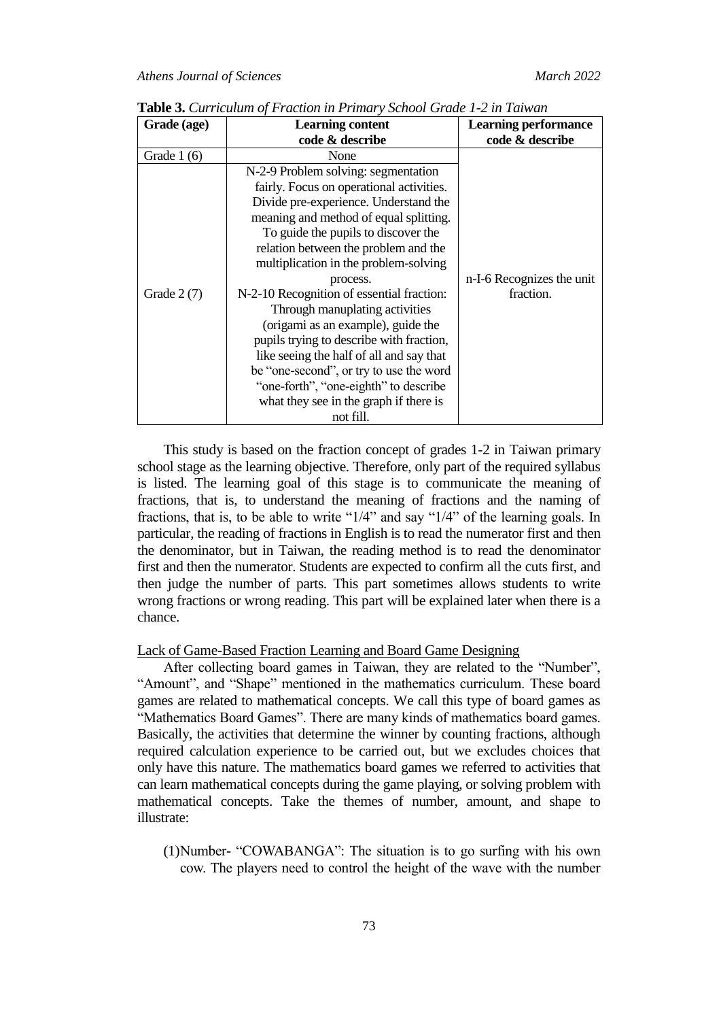| Grade (age)  | <b>Learning content</b><br>code & describe                                                                                                                                                                                                                                                                                                                                                                                                                                                                                                                                                                                                                     | <b>Learning performance</b><br>code & describe |
|--------------|----------------------------------------------------------------------------------------------------------------------------------------------------------------------------------------------------------------------------------------------------------------------------------------------------------------------------------------------------------------------------------------------------------------------------------------------------------------------------------------------------------------------------------------------------------------------------------------------------------------------------------------------------------------|------------------------------------------------|
| Grade $1(6)$ | None                                                                                                                                                                                                                                                                                                                                                                                                                                                                                                                                                                                                                                                           |                                                |
| Grade $2(7)$ | N-2-9 Problem solving: segmentation<br>fairly. Focus on operational activities.<br>Divide pre-experience. Understand the<br>meaning and method of equal splitting.<br>To guide the pupils to discover the<br>relation between the problem and the<br>multiplication in the problem-solving<br>process.<br>N-2-10 Recognition of essential fraction:<br>Through manuplating activities<br>(origami as an example), guide the<br>pupils trying to describe with fraction,<br>like seeing the half of all and say that<br>be "one-second", or try to use the word<br>"one-forth", "one-eighth" to describe<br>what they see in the graph if there is<br>not fill. | n-I-6 Recognizes the unit<br>fraction.         |

**Table 3.** *Curriculum of Fraction in Primary School Grade 1-2 in Taiwan*

This study is based on the fraction concept of grades 1-2 in Taiwan primary school stage as the learning objective. Therefore, only part of the required syllabus is listed. The learning goal of this stage is to communicate the meaning of fractions, that is, to understand the meaning of fractions and the naming of fractions, that is, to be able to write "1/4" and say "1/4" of the learning goals. In particular, the reading of fractions in English is to read the numerator first and then the denominator, but in Taiwan, the reading method is to read the denominator first and then the numerator. Students are expected to confirm all the cuts first, and then judge the number of parts. This part sometimes allows students to write wrong fractions or wrong reading. This part will be explained later when there is a chance.

### Lack of Game-Based Fraction Learning and Board Game Designing

After collecting board games in Taiwan, they are related to the "Number", "Amount", and "Shape" mentioned in the mathematics curriculum. These board games are related to mathematical concepts. We call this type of board games as "Mathematics Board Games". There are many kinds of mathematics board games. Basically, the activities that determine the winner by counting fractions, although required calculation experience to be carried out, but we excludes choices that only have this nature. The mathematics board games we referred to activities that can learn mathematical concepts during the game playing, or solving problem with mathematical concepts. Take the themes of number, amount, and shape to illustrate:

(1)Number- "COWABANGA": The situation is to go surfing with his own cow. The players need to control the height of the wave with the number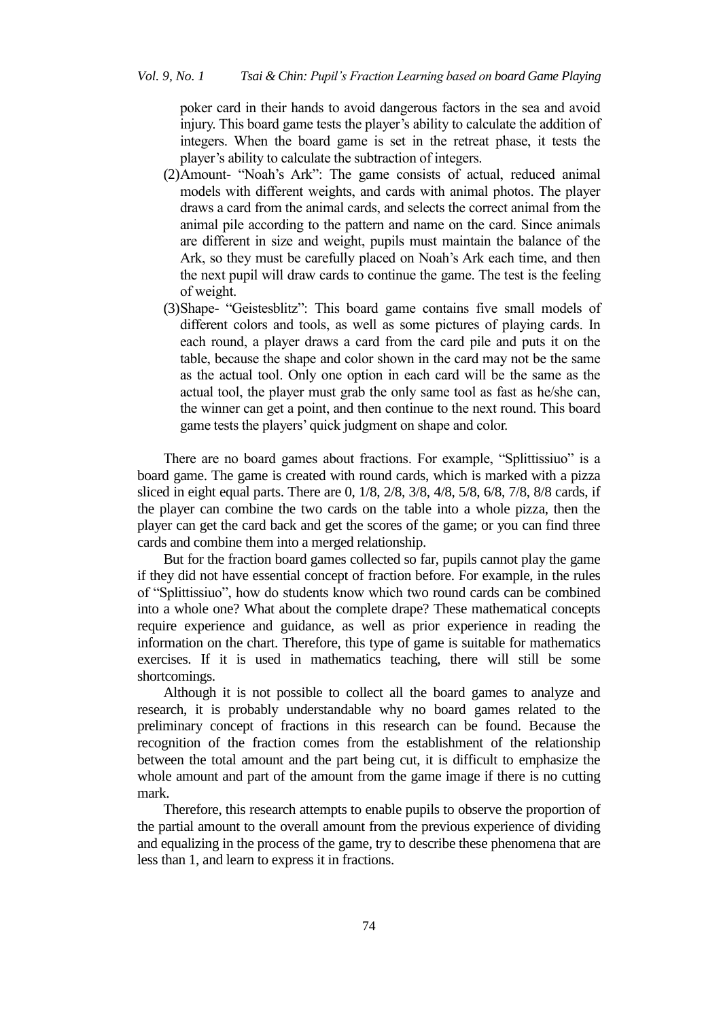poker card in their hands to avoid dangerous factors in the sea and avoid injury. This board game tests the player's ability to calculate the addition of integers. When the board game is set in the retreat phase, it tests the player"s ability to calculate the subtraction of integers.

- (2)Amount- "Noah"s Ark": The game consists of actual, reduced animal models with different weights, and cards with animal photos. The player draws a card from the animal cards, and selects the correct animal from the animal pile according to the pattern and name on the card. Since animals are different in size and weight, pupils must maintain the balance of the Ark, so they must be carefully placed on Noah"s Ark each time, and then the next pupil will draw cards to continue the game. The test is the feeling of weight.
- (3)Shape- "Geistesblitz": This board game contains five small models of different colors and tools, as well as some pictures of playing cards. In each round, a player draws a card from the card pile and puts it on the table, because the shape and color shown in the card may not be the same as the actual tool. Only one option in each card will be the same as the actual tool, the player must grab the only same tool as fast as he/she can, the winner can get a point, and then continue to the next round. This board game tests the players' quick judgment on shape and color.

There are no board games about fractions. For example, "Splittissiuo" is a board game. The game is created with round cards, which is marked with a pizza sliced in eight equal parts. There are 0,  $1/8$ ,  $2/8$ ,  $3/8$ ,  $4/8$ ,  $5/8$ ,  $6/8$ ,  $7/8$ ,  $8/8$  cards, if the player can combine the two cards on the table into a whole pizza, then the player can get the card back and get the scores of the game; or you can find three cards and combine them into a merged relationship.

But for the fraction board games collected so far, pupils cannot play the game if they did not have essential concept of fraction before. For example, in the rules of "Splittissiuo", how do students know which two round cards can be combined into a whole one? What about the complete drape? These mathematical concepts require experience and guidance, as well as prior experience in reading the information on the chart. Therefore, this type of game is suitable for mathematics exercises. If it is used in mathematics teaching, there will still be some shortcomings.

Although it is not possible to collect all the board games to analyze and research, it is probably understandable why no board games related to the preliminary concept of fractions in this research can be found. Because the recognition of the fraction comes from the establishment of the relationship between the total amount and the part being cut, it is difficult to emphasize the whole amount and part of the amount from the game image if there is no cutting mark.

Therefore, this research attempts to enable pupils to observe the proportion of the partial amount to the overall amount from the previous experience of dividing and equalizing in the process of the game, try to describe these phenomena that are less than 1, and learn to express it in fractions.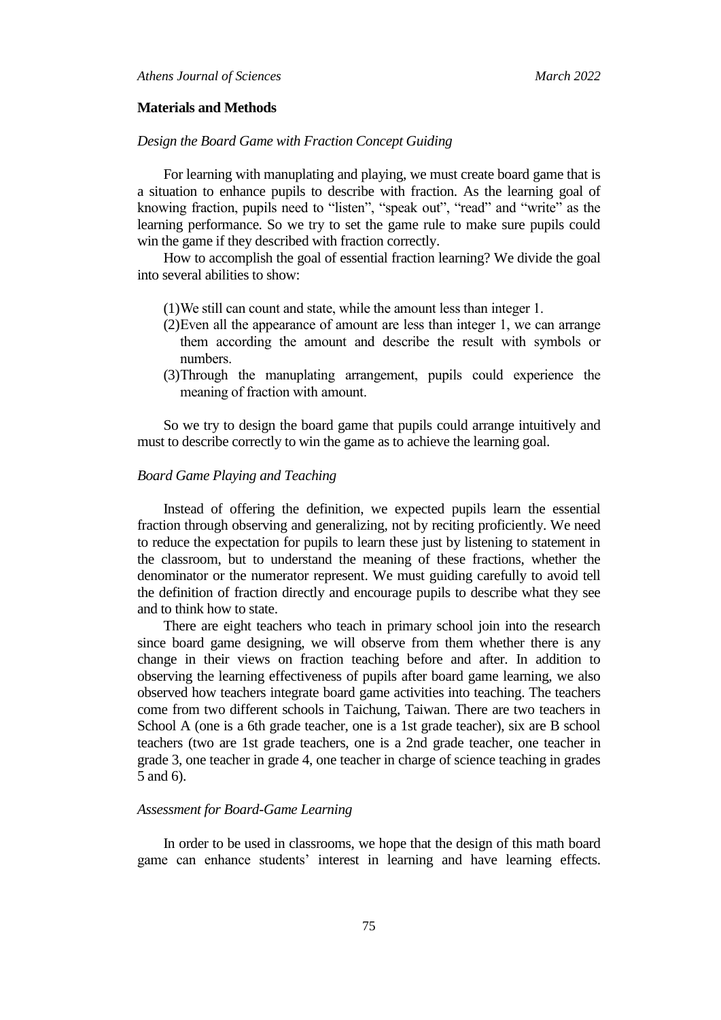#### **Materials and Methods**

### *Design the Board Game with Fraction Concept Guiding*

For learning with manuplating and playing, we must create board game that is a situation to enhance pupils to describe with fraction. As the learning goal of knowing fraction, pupils need to "listen", "speak out", "read" and "write" as the learning performance. So we try to set the game rule to make sure pupils could win the game if they described with fraction correctly.

How to accomplish the goal of essential fraction learning? We divide the goal into several abilities to show:

- (1)We still can count and state, while the amount less than integer 1.
- (2)Even all the appearance of amount are less than integer 1, we can arrange them according the amount and describe the result with symbols or numbers.
- (3)Through the manuplating arrangement, pupils could experience the meaning of fraction with amount.

So we try to design the board game that pupils could arrange intuitively and must to describe correctly to win the game as to achieve the learning goal.

#### *Board Game Playing and Teaching*

Instead of offering the definition, we expected pupils learn the essential fraction through observing and generalizing, not by reciting proficiently. We need to reduce the expectation for pupils to learn these just by listening to statement in the classroom, but to understand the meaning of these fractions, whether the denominator or the numerator represent. We must guiding carefully to avoid tell the definition of fraction directly and encourage pupils to describe what they see and to think how to state.

There are eight teachers who teach in primary school join into the research since board game designing, we will observe from them whether there is any change in their views on fraction teaching before and after. In addition to observing the learning effectiveness of pupils after board game learning, we also observed how teachers integrate board game activities into teaching. The teachers come from two different schools in Taichung, Taiwan. There are two teachers in School A (one is a 6th grade teacher, one is a 1st grade teacher), six are B school teachers (two are 1st grade teachers, one is a 2nd grade teacher, one teacher in grade 3, one teacher in grade 4, one teacher in charge of science teaching in grades 5 and 6).

### *Assessment for Board-Game Learning*

In order to be used in classrooms, we hope that the design of this math board game can enhance students' interest in learning and have learning effects.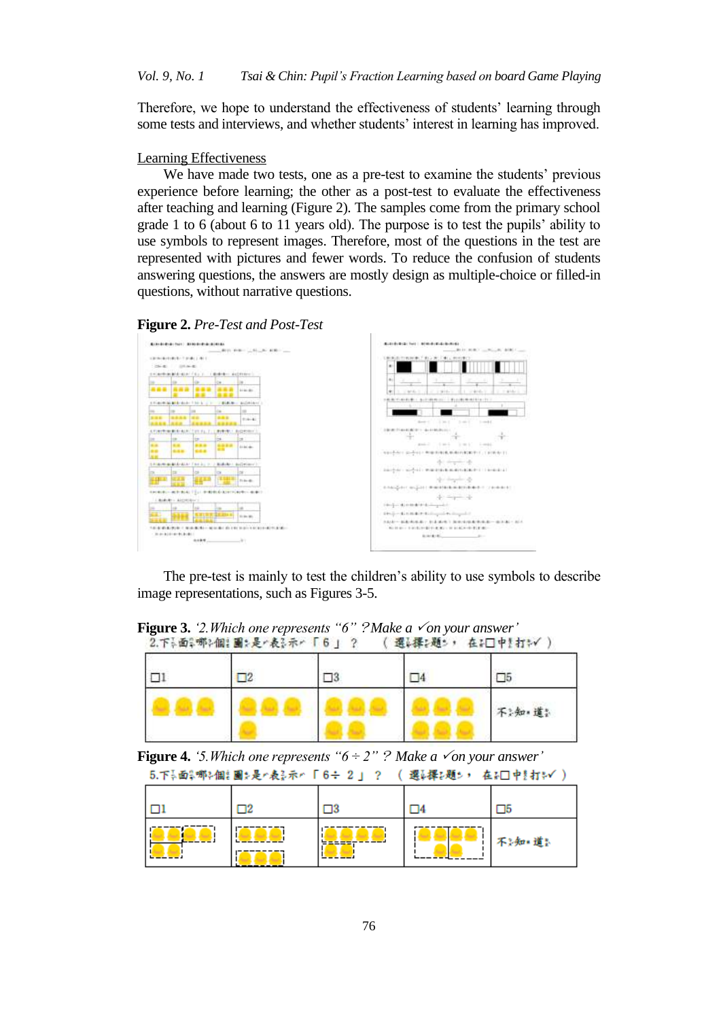Therefore, we hope to understand the effectiveness of students" learning through some tests and interviews, and whether students' interest in learning has improved.

### Learning Effectiveness

We have made two tests, one as a pre-test to examine the students' previous experience before learning; the other as a post-test to evaluate the effectiveness after teaching and learning (Figure 2). The samples come from the primary school grade 1 to 6 (about 6 to 11 years old). The purpose is to test the pupils" ability to use symbols to represent images. Therefore, most of the questions in the test are represented with pictures and fewer words. To reduce the confusion of students answering questions, the answers are mostly design as multiple-choice or filled-in questions, without narrative questions.

**Figure 2.** *Pre-Test and Post-Test*



The pre-test is mainly to test the children"s ability to use symbols to describe image representations, such as Figures 3-5.

**Figure 3.** *'2.Which one represents "6" ?Make a √on your answer'*<br>2.下→面→部→偏: 圖→是←表→示← 「6」 ? ( 選↓擇→題→ ・ 在→□中! 打→√ )

|  |  | 不:知道: |
|--|--|-------|

**Figure 4.** *'5. Which one represents*  $6 \div 2$ *" ? Make a*  $\checkmark$  *on your answer'* 5.下長面影哪を個計圖を是と表る示と「6÷ 2 」 ? ( 選ら擇を題を, 在を□中を打き√ )

| As the same and the second of the same same of the same of the same of the same of the same of the same of the same of the same of the same of the same of the same of the same of the same of the same of the same of the sa |  |      |  |        |  |  |
|-------------------------------------------------------------------------------------------------------------------------------------------------------------------------------------------------------------------------------|--|------|--|--------|--|--|
|                                                                                                                                                                                                                               |  |      |  |        |  |  |
|                                                                                                                                                                                                                               |  | ---- |  | 不》知:道》 |  |  |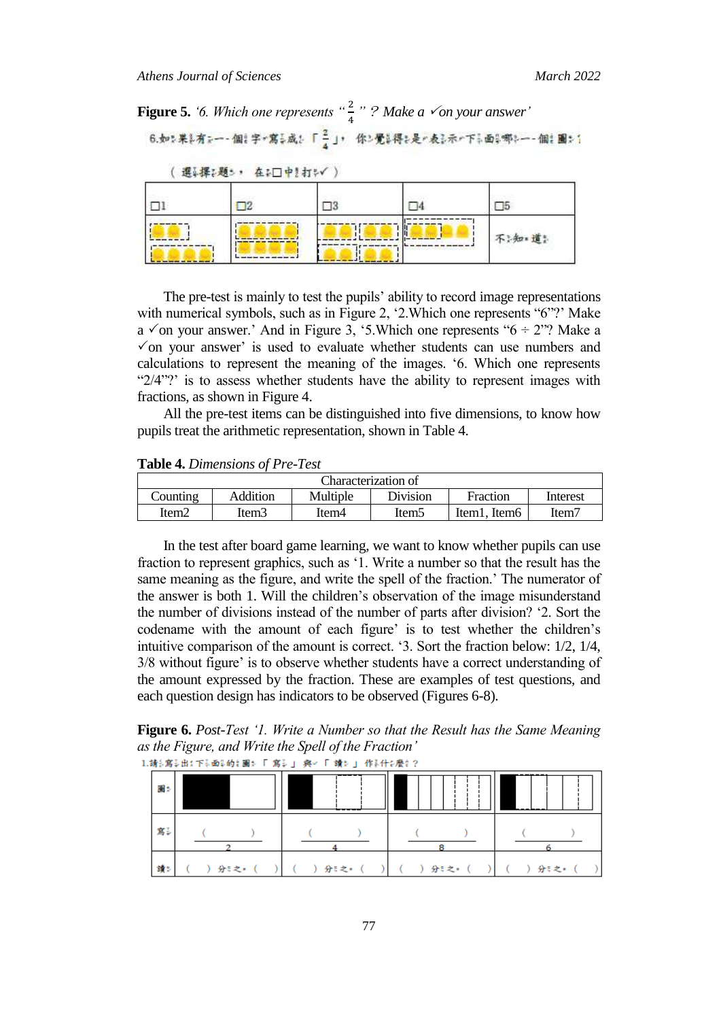**Figure 5.** *'6. Which one represents*  $\frac{a}{4}$  " ? Make a  $\checkmark$  on your answer'

|     | 選ぶ探び返さ, 在シロ中!打いく) |  |       |
|-----|-------------------|--|-------|
|     |                   |  |       |
| --- |                   |  | 不:知道: |
|     |                   |  |       |

The pre-test is mainly to test the pupils' ability to record image representations with numerical symbols, such as in Figure 2, '2. Which one represents "6"?' Make a  $\checkmark$  on your answer.' And in Figure 3, '5.Which one represents "6  $\div$  2"? Make a  $\checkmark$  on your answer' is used to evaluate whether students can use numbers and calculations to represent the meaning of the images. "6. Which one represents " $2/4$ "?" is to assess whether students have the ability to represent images with fractions, as shown in Figure 4.

All the pre-test items can be distinguished into five dimensions, to know how pupils treat the arithmetic representation, shown in Table 4.

**Table 4.** *Dimensions of Pre-Test*

| Characterization of                                                         |       |       |       |                            |       |  |  |
|-----------------------------------------------------------------------------|-------|-------|-------|----------------------------|-------|--|--|
| Counting<br><b>Division</b><br>Addition<br>Multiple<br>Fraction<br>Interest |       |       |       |                            |       |  |  |
| Item <sub>2</sub>                                                           | Item3 | ltem4 | Item5 | Item1<br>Item <sub>6</sub> | Item7 |  |  |

In the test after board game learning, we want to know whether pupils can use fraction to represent graphics, such as "1. Write a number so that the result has the same meaning as the figure, and write the spell of the fraction.' The numerator of the answer is both 1. Will the children"s observation of the image misunderstand the number of divisions instead of the number of parts after division? "2. Sort the codename with the amount of each figure' is to test whether the children's intuitive comparison of the amount is correct. "3. Sort the fraction below: 1/2, 1/4, 3/8 without figure" is to observe whether students have a correct understanding of the amount expressed by the fraction. These are examples of test questions, and each question design has indicators to be observed (Figures 6-8).

**Figure 6.** *Post-Test "1. Write a Number so that the Result has the Same Meaning as the Figure, and Write the Spell of the Fraction"*1.請う寫5出:下5面5的2團2「「寫5」 與レ「一讀2」 作8什么麼2?

| $\sim$ and the secondary in the secondary secondary $\sim$ and the secondary contract of the secondary of $\sim$<br>圖封 | ------- |      |      |      |  |
|------------------------------------------------------------------------------------------------------------------------|---------|------|------|------|--|
| 寫訓                                                                                                                     |         |      |      |      |  |
| 讀詞                                                                                                                     | 分;之*    | 分;之* | 分5之* | 分;之* |  |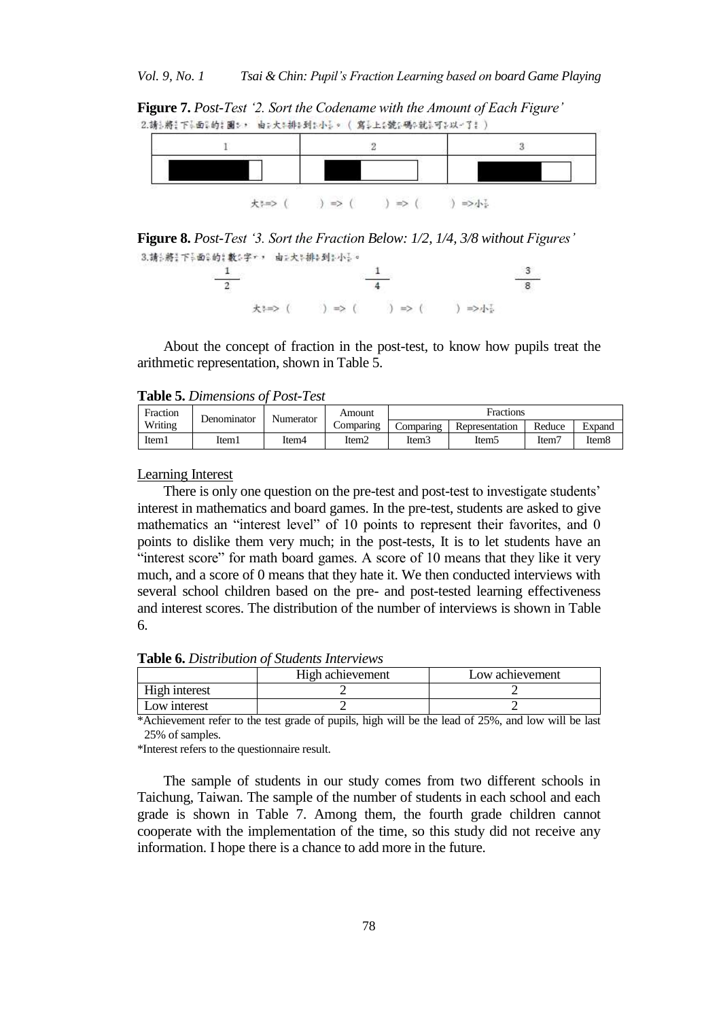**Figure 7.** *Post-Test "2. Sort the Codename with the Amount of Each Figure"* 2.請与將:下引面引的主圖シ,由示大本排印到か小言。 (寫言上を號の碼中就言可さ以一了き)

| $=$<br>≡ |  |
|----------|--|

**Figure 8.** *Post-Test "3. Sort the Fraction Below: 1/2, 1/4, 3/8 without Figures"* 3.請知將:下品面品的?數5字,,由正大部排4到2小品。



About the concept of fraction in the post-test, to know how pupils treat the arithmetic representation, shown in Table 5.

**Table 5.** *Dimensions of Post-Test*

| Fraction |       | Amount<br>Numerator<br>Denominator |           |                   | Fractions      |        |                   |
|----------|-------|------------------------------------|-----------|-------------------|----------------|--------|-------------------|
| Writing  |       |                                    | Comparing | Comparing         | Representation | Reduce | Expand            |
| Item1    | Item1 | ltem4                              | Item2     | Item <sub>3</sub> | Item5          | Item7  | Item <sub>8</sub> |

Learning Interest

There is only one question on the pre-test and post-test to investigate students' interest in mathematics and board games. In the pre-test, students are asked to give mathematics an "interest level" of 10 points to represent their favorites, and 0 points to dislike them very much; in the post-tests, It is to let students have an "interest score" for math board games. A score of 10 means that they like it very much, and a score of 0 means that they hate it. We then conducted interviews with several school children based on the pre- and post-tested learning effectiveness and interest scores. The distribution of the number of interviews is shown in Table 6.

**Table 6.** *Distribution of Students Interviews*

|               | High achievement<br>Low achievement |  |  |  |  |
|---------------|-------------------------------------|--|--|--|--|
| High interest |                                     |  |  |  |  |
| Low interest  |                                     |  |  |  |  |

\*Achievement refer to the test grade of pupils, high will be the lead of 25%, and low will be last 25% of samples.

\*Interest refers to the questionnaire result.

The sample of students in our study comes from two different schools in Taichung, Taiwan. The sample of the number of students in each school and each grade is shown in Table 7. Among them, the fourth grade children cannot cooperate with the implementation of the time, so this study did not receive any information. I hope there is a chance to add more in the future.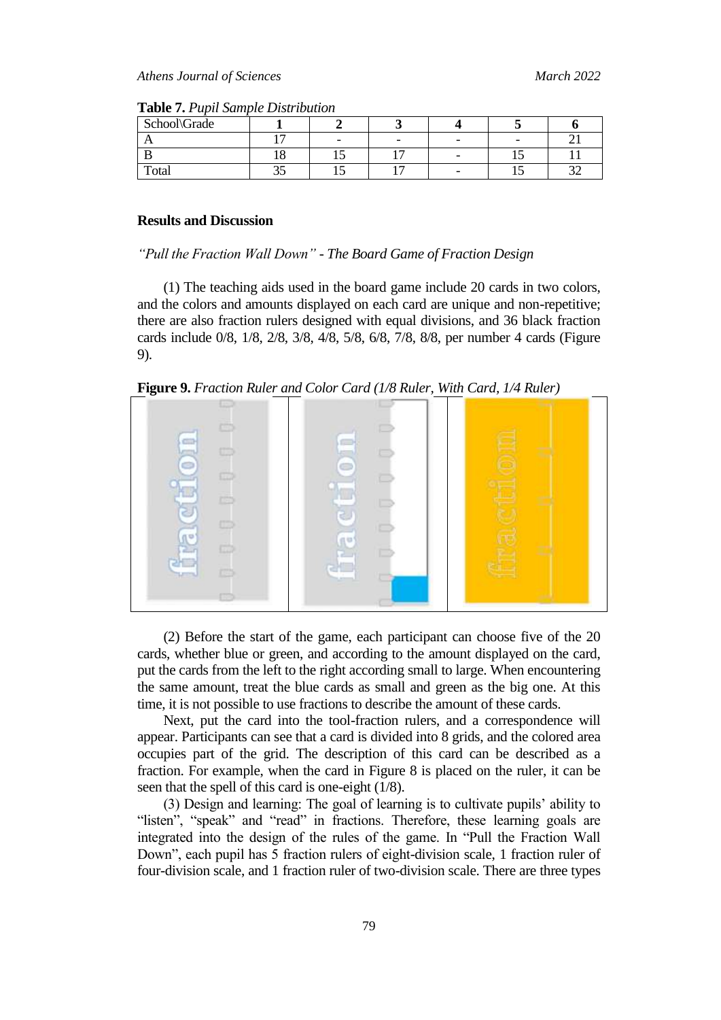| School\Grade |   |                |  |  |
|--------------|---|----------------|--|--|
|              | - |                |  |  |
|              |   |                |  |  |
| Total        |   | $\overline{ }$ |  |  |

**Table 7.** *Pupil Sample Distribution*

### **Results and Discussion**

#### *"Pull the Fraction Wall Down" - The Board Game of Fraction Design*

(1) The teaching aids used in the board game include 20 cards in two colors, and the colors and amounts displayed on each card are unique and non-repetitive; there are also fraction rulers designed with equal divisions, and 36 black fraction cards include 0/8, 1/8, 2/8, 3/8, 4/8, 5/8, 6/8, 7/8, 8/8, per number 4 cards (Figure 9).

**Figure 9.** *Fraction Ruler and Color Card (1/8 Ruler, With Card, 1/4 Ruler)*



(2) Before the start of the game, each participant can choose five of the 20 cards, whether blue or green, and according to the amount displayed on the card, put the cards from the left to the right according small to large. When encountering the same amount, treat the blue cards as small and green as the big one. At this time, it is not possible to use fractions to describe the amount of these cards.

Next, put the card into the tool-fraction rulers, and a correspondence will appear. Participants can see that a card is divided into 8 grids, and the colored area occupies part of the grid. The description of this card can be described as a fraction. For example, when the card in Figure 8 is placed on the ruler, it can be seen that the spell of this card is one-eight (1/8).

(3) Design and learning: The goal of learning is to cultivate pupils" ability to "listen", "speak" and "read" in fractions. Therefore, these learning goals are integrated into the design of the rules of the game. In "Pull the Fraction Wall Down", each pupil has 5 fraction rulers of eight-division scale, 1 fraction ruler of four-division scale, and 1 fraction ruler of two-division scale. There are three types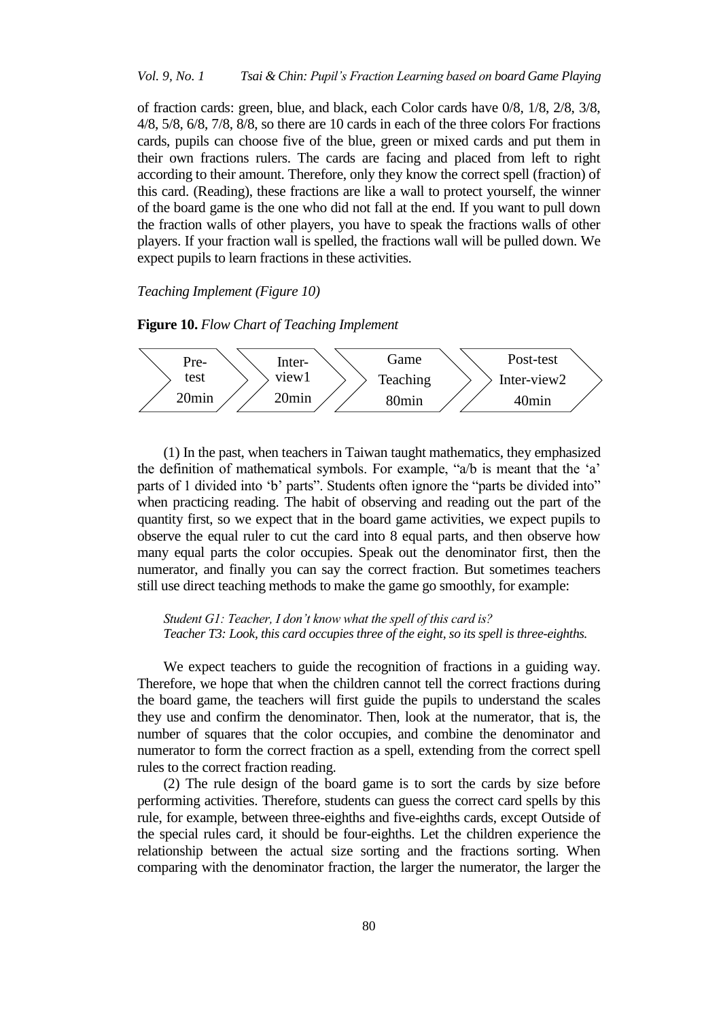*Vol. 9, No. 1 Tsai & Chin: Pupil"s Fraction Learning based on board Game Playing*

of fraction cards: green, blue, and black, each Color cards have 0/8, 1/8, 2/8, 3/8, 4/8, 5/8, 6/8, 7/8, 8/8, so there are 10 cards in each of the three colors For fractions cards, pupils can choose five of the blue, green or mixed cards and put them in their own fractions rulers. The cards are facing and placed from left to right according to their amount. Therefore, only they know the correct spell (fraction) of this card. (Reading), these fractions are like a wall to protect yourself, the winner of the board game is the one who did not fall at the end. If you want to pull down the fraction walls of other players, you have to speak the fractions walls of other players. If your fraction wall is spelled, the fractions wall will be pulled down. We expect pupils to learn fractions in these activities.

*Teaching Implement (Figure 10)*

**Figure 10.** *Flow Chart of Teaching Implement*



(1) In the past, when teachers in Taiwan taught mathematics, they emphasized the definition of mathematical symbols. For example, "a/b is meant that the "a" parts of 1 divided into "b" parts". Students often ignore the "parts be divided into" when practicing reading. The habit of observing and reading out the part of the quantity first, so we expect that in the board game activities, we expect pupils to observe the equal ruler to cut the card into 8 equal parts, and then observe how many equal parts the color occupies. Speak out the denominator first, then the numerator, and finally you can say the correct fraction. But sometimes teachers still use direct teaching methods to make the game go smoothly, for example:

*Student G1: Teacher, I don"t know what the spell of this card is? Teacher T3: Look, this card occupies three of the eight, so its spell is three-eighths.*

We expect teachers to guide the recognition of fractions in a guiding way. Therefore, we hope that when the children cannot tell the correct fractions during the board game, the teachers will first guide the pupils to understand the scales they use and confirm the denominator. Then, look at the numerator, that is, the number of squares that the color occupies, and combine the denominator and numerator to form the correct fraction as a spell, extending from the correct spell rules to the correct fraction reading.

(2) The rule design of the board game is to sort the cards by size before performing activities. Therefore, students can guess the correct card spells by this rule, for example, between three-eighths and five-eighths cards, except Outside of the special rules card, it should be four-eighths. Let the children experience the relationship between the actual size sorting and the fractions sorting. When comparing with the denominator fraction, the larger the numerator, the larger the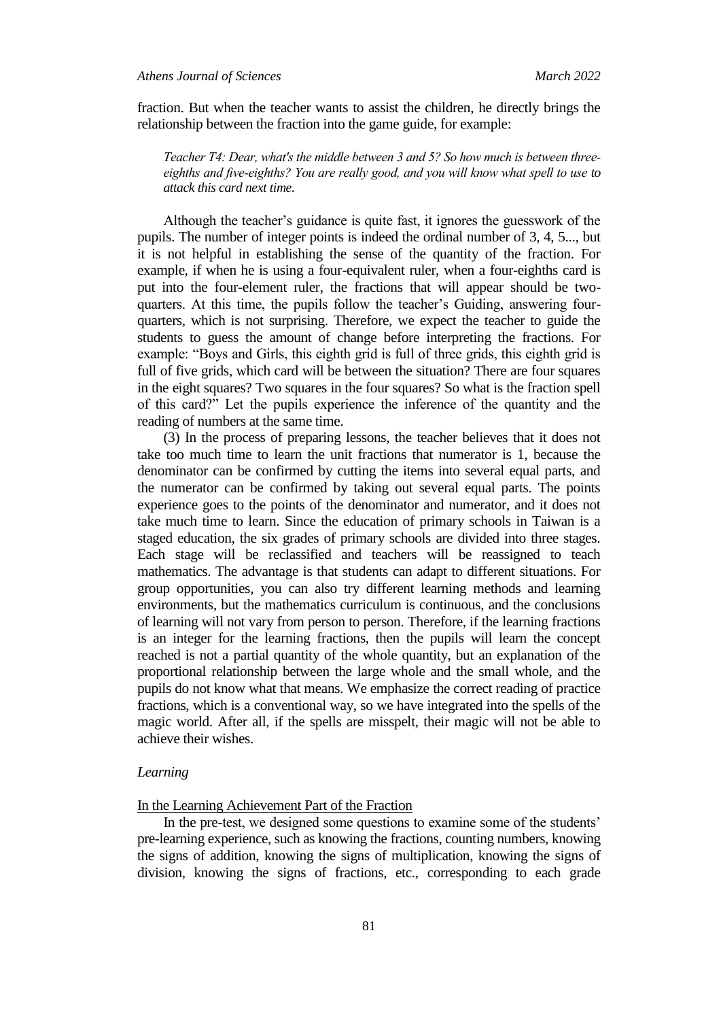fraction. But when the teacher wants to assist the children, he directly brings the relationship between the fraction into the game guide, for example:

*Teacher T4: Dear, what's the middle between 3 and 5? So how much is between threeeighths and five-eighths? You are really good, and you will know what spell to use to attack this card next time.*

Although the teacher"s guidance is quite fast, it ignores the guesswork of the pupils. The number of integer points is indeed the ordinal number of 3, 4, 5..., but it is not helpful in establishing the sense of the quantity of the fraction. For example, if when he is using a four-equivalent ruler, when a four-eighths card is put into the four-element ruler, the fractions that will appear should be twoquarters. At this time, the pupils follow the teacher"s Guiding, answering fourquarters, which is not surprising. Therefore, we expect the teacher to guide the students to guess the amount of change before interpreting the fractions. For example: "Boys and Girls, this eighth grid is full of three grids, this eighth grid is full of five grids, which card will be between the situation? There are four squares in the eight squares? Two squares in the four squares? So what is the fraction spell of this card?" Let the pupils experience the inference of the quantity and the reading of numbers at the same time.

(3) In the process of preparing lessons, the teacher believes that it does not take too much time to learn the unit fractions that numerator is 1, because the denominator can be confirmed by cutting the items into several equal parts, and the numerator can be confirmed by taking out several equal parts. The points experience goes to the points of the denominator and numerator, and it does not take much time to learn. Since the education of primary schools in Taiwan is a staged education, the six grades of primary schools are divided into three stages. Each stage will be reclassified and teachers will be reassigned to teach mathematics. The advantage is that students can adapt to different situations. For group opportunities, you can also try different learning methods and learning environments, but the mathematics curriculum is continuous, and the conclusions of learning will not vary from person to person. Therefore, if the learning fractions is an integer for the learning fractions, then the pupils will learn the concept reached is not a partial quantity of the whole quantity, but an explanation of the proportional relationship between the large whole and the small whole, and the pupils do not know what that means. We emphasize the correct reading of practice fractions, which is a conventional way, so we have integrated into the spells of the magic world. After all, if the spells are misspelt, their magic will not be able to achieve their wishes.

#### *Learning*

### In the Learning Achievement Part of the Fraction

In the pre-test, we designed some questions to examine some of the students' pre-learning experience, such as knowing the fractions, counting numbers, knowing the signs of addition, knowing the signs of multiplication, knowing the signs of division, knowing the signs of fractions, etc., corresponding to each grade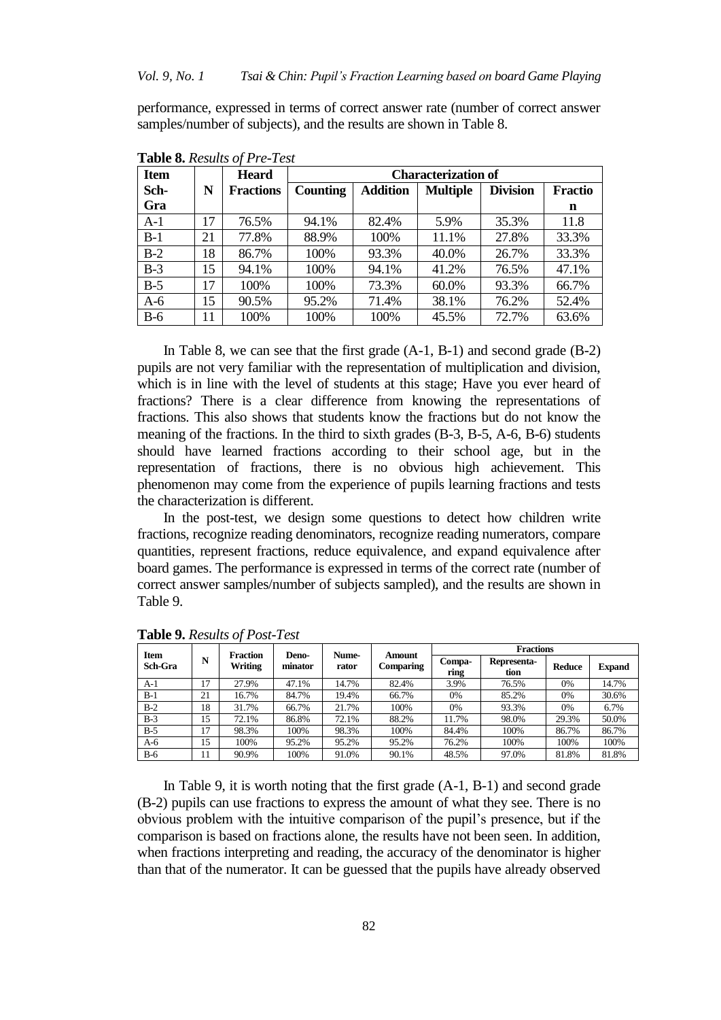performance, expressed in terms of correct answer rate (number of correct answer samples/number of subjects), and the results are shown in Table 8.

| <b>Item</b> |    | <b>Heard</b>     | <b>Characterization of</b> |                 |                 |                 |                |  |  |
|-------------|----|------------------|----------------------------|-----------------|-----------------|-----------------|----------------|--|--|
| Sch-        | N  | <b>Fractions</b> | <b>Counting</b>            | <b>Addition</b> | <b>Multiple</b> | <b>Division</b> | <b>Fractio</b> |  |  |
| Gra         |    |                  |                            |                 |                 |                 | n              |  |  |
| $A-1$       | 17 | 76.5%            | 94.1%                      | 82.4%           | 5.9%            | 35.3%           | 11.8           |  |  |
| $B-1$       | 21 | 77.8%            | 88.9%                      | 100%            | 11.1%           | 27.8%           | 33.3%          |  |  |
| $B-2$       | 18 | 86.7%            | 100%                       | 93.3%           | 40.0%           | 26.7%           | 33.3%          |  |  |
| $B-3$       | 15 | 94.1%            | 100%                       | 94.1%           | 41.2%           | 76.5%           | 47.1%          |  |  |
| $B-5$       | 17 | 100%             | 100%                       | 73.3%           | 60.0%           | 93.3%           | 66.7%          |  |  |
| $A-6$       | 15 | 90.5%            | 95.2%                      | 71.4%           | 38.1%           | 76.2%           | 52.4%          |  |  |
| $B-6$       | 11 | 100%             | 100%                       | 100%            | 45.5%           | 72.7%           | 63.6%          |  |  |

**Table 8.** *Results of Pre-Test*

In Table 8, we can see that the first grade (A-1, B-1) and second grade (B-2) pupils are not very familiar with the representation of multiplication and division, which is in line with the level of students at this stage; Have you ever heard of fractions? There is a clear difference from knowing the representations of fractions. This also shows that students know the fractions but do not know the meaning of the fractions. In the third to sixth grades (B-3, B-5, A-6, B-6) students should have learned fractions according to their school age, but in the representation of fractions, there is no obvious high achievement. This phenomenon may come from the experience of pupils learning fractions and tests the characterization is different.

In the post-test, we design some questions to detect how children write fractions, recognize reading denominators, recognize reading numerators, compare quantities, represent fractions, reduce equivalence, and expand equivalence after board games. The performance is expressed in terms of the correct rate (number of correct answer samples/number of subjects sampled), and the results are shown in Table 9.

| Item<br><b>Sch-Gra</b> | N  | <b>Fraction</b><br>Writing | Deno-<br>minator | Nume-<br>rator | Amount<br><b>Comparing</b> | Fractions      |                     |               |               |
|------------------------|----|----------------------------|------------------|----------------|----------------------------|----------------|---------------------|---------------|---------------|
|                        |    |                            |                  |                |                            | Compa-<br>ring | Representa-<br>tion | <b>Reduce</b> | <b>Expand</b> |
| $A-1$                  | 17 | 27.9%                      | 47.1%            | 14.7%          | 82.4%                      | 3.9%           | 76.5%               | 0%            | 14.7%         |
| $B-1$                  | 21 | 16.7%                      | 84.7%            | 19.4%          | 66.7%                      | 0%             | 85.2%               | 0%            | 30.6%         |
| $B-2$                  | 18 | 31.7%                      | 66.7%            | 21.7%          | 100%                       | 0%             | 93.3%               | 0%            | 6.7%          |
| $B-3$                  | 15 | 72.1%                      | 86.8%            | 72.1%          | 88.2%                      | 11.7%          | 98.0%               | 29.3%         | 50.0%         |
| $B-5$                  | 17 | 98.3%                      | 100%             | 98.3%          | 100%                       | 84.4%          | 100%                | 86.7%         | 86.7%         |
| A-6                    | 15 | 100%                       | 95.2%            | 95.2%          | 95.2%                      | 76.2%          | 100%                | 100%          | 100%          |
| $B-6$                  | 11 | 90.9%                      | 100%             | 91.0%          | 90.1%                      | 48.5%          | 97.0%               | 81.8%         | 81.8%         |

**Table 9.** *Results of Post-Test*

In Table 9, it is worth noting that the first grade (A-1, B-1) and second grade (B-2) pupils can use fractions to express the amount of what they see. There is no obvious problem with the intuitive comparison of the pupil"s presence, but if the comparison is based on fractions alone, the results have not been seen. In addition, when fractions interpreting and reading, the accuracy of the denominator is higher than that of the numerator. It can be guessed that the pupils have already observed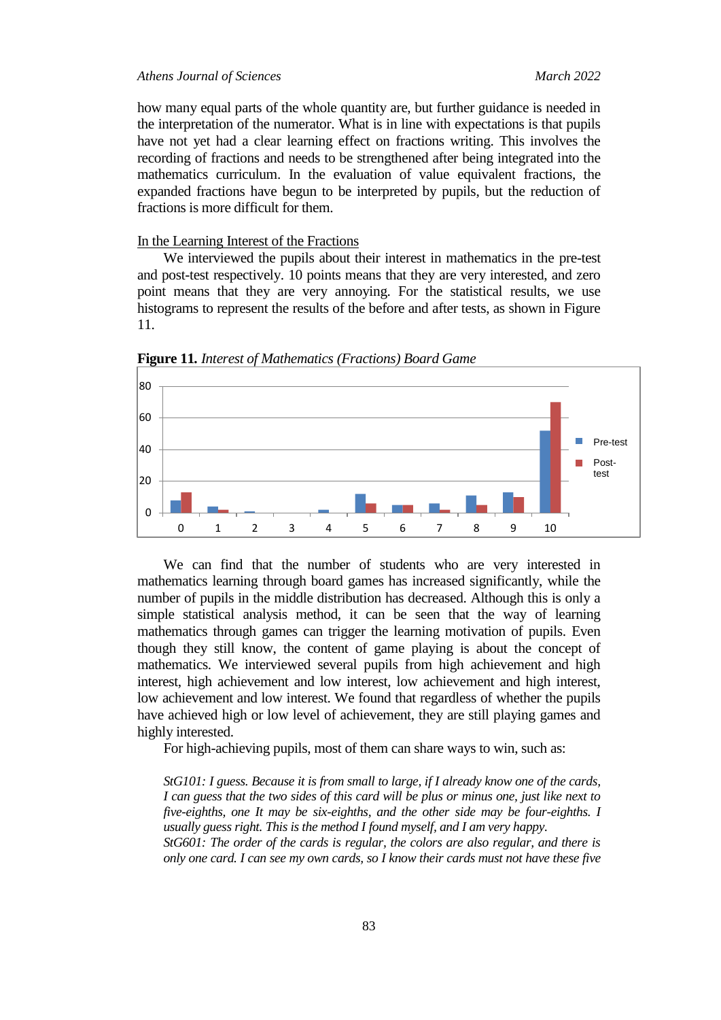how many equal parts of the whole quantity are, but further guidance is needed in the interpretation of the numerator. What is in line with expectations is that pupils have not yet had a clear learning effect on fractions writing. This involves the recording of fractions and needs to be strengthened after being integrated into the mathematics curriculum. In the evaluation of value equivalent fractions, the expanded fractions have begun to be interpreted by pupils, but the reduction of fractions is more difficult for them.

#### In the Learning Interest of the Fractions

We interviewed the pupils about their interest in mathematics in the pre-test and post-test respectively. 10 points means that they are very interested, and zero point means that they are very annoying. For the statistical results, we use histograms to represent the results of the before and after tests, as shown in Figure 11.



**Figure 11***. Interest of Mathematics (Fractions) Board Game*

We can find that the number of students who are very interested in mathematics learning through board games has increased significantly, while the number of pupils in the middle distribution has decreased. Although this is only a simple statistical analysis method, it can be seen that the way of learning mathematics through games can trigger the learning motivation of pupils. Even though they still know, the content of game playing is about the concept of mathematics. We interviewed several pupils from high achievement and high interest, high achievement and low interest, low achievement and high interest, low achievement and low interest. We found that regardless of whether the pupils have achieved high or low level of achievement, they are still playing games and highly interested.

For high-achieving pupils, most of them can share ways to win, such as:

*StG101: I guess. Because it is from small to large, if I already know one of the cards, I can guess that the two sides of this card will be plus or minus one, just like next to five-eighths, one It may be six-eighths, and the other side may be four-eighths. I usually guess right. This is the method I found myself, and I am very happy.*

*StG601: The order of the cards is regular, the colors are also regular, and there is only one card. I can see my own cards, so I know their cards must not have these five*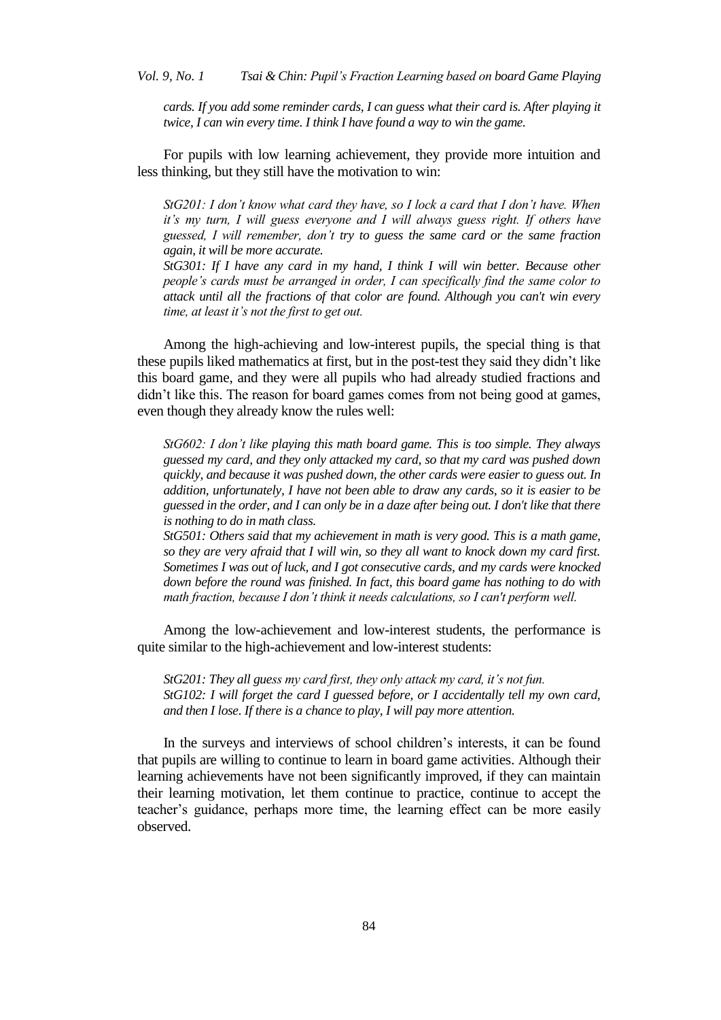*cards. If you add some reminder cards, I can guess what their card is. After playing it twice, I can win every time. I think I have found a way to win the game.*

For pupils with low learning achievement, they provide more intuition and less thinking, but they still have the motivation to win:

*StG201: I don"t know what card they have, so I lock a card that I don"t have. When it"s my turn, I will guess everyone and I will always guess right. If others have guessed, I will remember, don"t try to guess the same card or the same fraction again, it will be more accurate.*

*StG301: If I have any card in my hand, I think I will win better. Because other people"s cards must be arranged in order, I can specifically find the same color to attack until all the fractions of that color are found. Although you can't win every time, at least it"s not the first to get out.*

Among the high-achieving and low-interest pupils, the special thing is that these pupils liked mathematics at first, but in the post-test they said they didn"t like this board game, and they were all pupils who had already studied fractions and didn"t like this. The reason for board games comes from not being good at games, even though they already know the rules well:

*StG602: I don"t like playing this math board game. This is too simple. They always guessed my card, and they only attacked my card, so that my card was pushed down quickly, and because it was pushed down, the other cards were easier to guess out. In addition, unfortunately, I have not been able to draw any cards, so it is easier to be guessed in the order, and I can only be in a daze after being out. I don't like that there is nothing to do in math class.*

*StG501: Others said that my achievement in math is very good. This is a math game, so they are very afraid that I will win, so they all want to knock down my card first. Sometimes I was out of luck, and I got consecutive cards, and my cards were knocked down before the round was finished. In fact, this board game has nothing to do with math fraction, because I don"t think it needs calculations, so I can't perform well.*

Among the low-achievement and low-interest students, the performance is quite similar to the high-achievement and low-interest students:

*StG201: They all guess my card first, they only attack my card, it's not fun. StG102: I will forget the card I guessed before, or I accidentally tell my own card, and then I lose. If there is a chance to play, I will pay more attention.*

In the surveys and interviews of school children"s interests, it can be found that pupils are willing to continue to learn in board game activities. Although their learning achievements have not been significantly improved, if they can maintain their learning motivation, let them continue to practice, continue to accept the teacher"s guidance, perhaps more time, the learning effect can be more easily observed.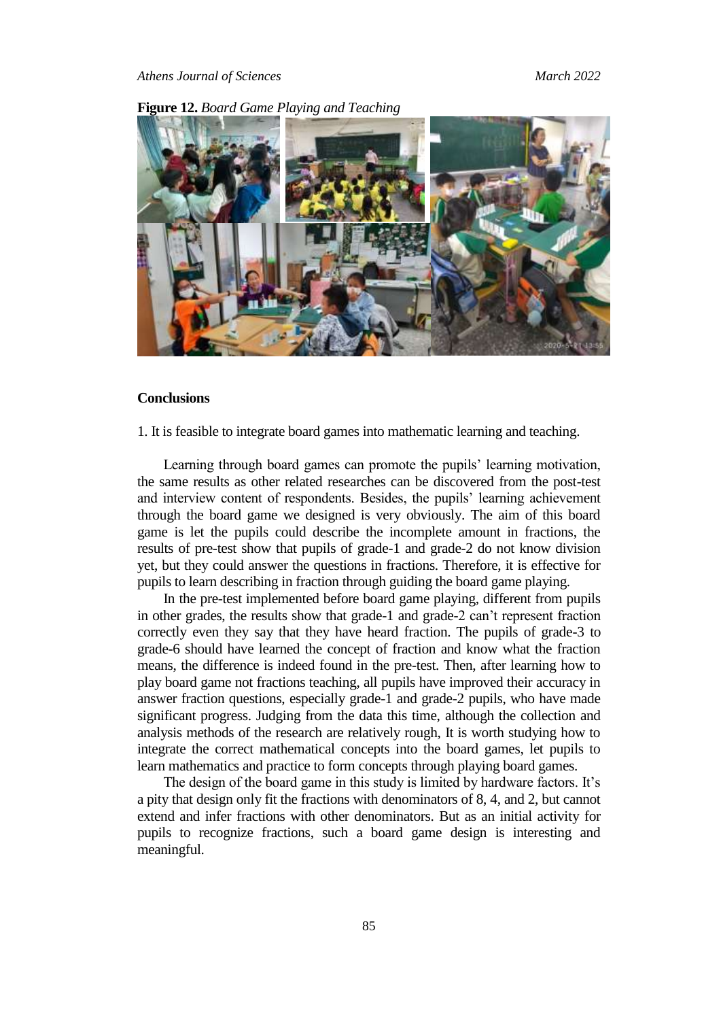



#### **Conclusions**

1. It is feasible to integrate board games into mathematic learning and teaching.

Learning through board games can promote the pupils' learning motivation, the same results as other related researches can be discovered from the post-test and interview content of respondents. Besides, the pupils" learning achievement through the board game we designed is very obviously. The aim of this board game is let the pupils could describe the incomplete amount in fractions, the results of pre-test show that pupils of grade-1 and grade-2 do not know division yet, but they could answer the questions in fractions. Therefore, it is effective for pupils to learn describing in fraction through guiding the board game playing.

In the pre-test implemented before board game playing, different from pupils in other grades, the results show that grade-1 and grade-2 can"t represent fraction correctly even they say that they have heard fraction. The pupils of grade-3 to grade-6 should have learned the concept of fraction and know what the fraction means, the difference is indeed found in the pre-test. Then, after learning how to play board game not fractions teaching, all pupils have improved their accuracy in answer fraction questions, especially grade-1 and grade-2 pupils, who have made significant progress. Judging from the data this time, although the collection and analysis methods of the research are relatively rough, It is worth studying how to integrate the correct mathematical concepts into the board games, let pupils to learn mathematics and practice to form concepts through playing board games.

The design of the board game in this study is limited by hardware factors. It's a pity that design only fit the fractions with denominators of 8, 4, and 2, but cannot extend and infer fractions with other denominators. But as an initial activity for pupils to recognize fractions, such a board game design is interesting and meaningful.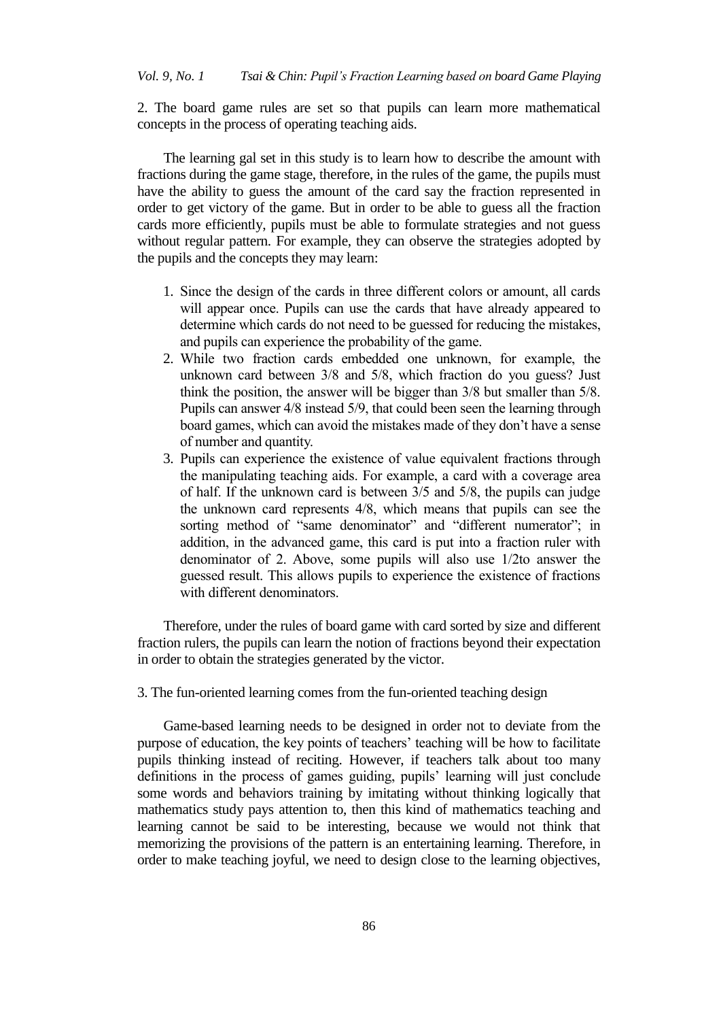2. The board game rules are set so that pupils can learn more mathematical concepts in the process of operating teaching aids.

The learning gal set in this study is to learn how to describe the amount with fractions during the game stage, therefore, in the rules of the game, the pupils must have the ability to guess the amount of the card say the fraction represented in order to get victory of the game. But in order to be able to guess all the fraction cards more efficiently, pupils must be able to formulate strategies and not guess without regular pattern. For example, they can observe the strategies adopted by the pupils and the concepts they may learn:

- 1. Since the design of the cards in three different colors or amount, all cards will appear once. Pupils can use the cards that have already appeared to determine which cards do not need to be guessed for reducing the mistakes, and pupils can experience the probability of the game.
- 2. While two fraction cards embedded one unknown, for example, the unknown card between 3/8 and 5/8, which fraction do you guess? Just think the position, the answer will be bigger than 3/8 but smaller than 5/8. Pupils can answer 4/8 instead 5/9, that could been seen the learning through board games, which can avoid the mistakes made of they don"t have a sense of number and quantity.
- 3. Pupils can experience the existence of value equivalent fractions through the manipulating teaching aids. For example, a card with a coverage area of half. If the unknown card is between 3/5 and 5/8, the pupils can judge the unknown card represents 4/8, which means that pupils can see the sorting method of "same denominator" and "different numerator"; in addition, in the advanced game, this card is put into a fraction ruler with denominator of 2. Above, some pupils will also use 1/2to answer the guessed result. This allows pupils to experience the existence of fractions with different denominators.

Therefore, under the rules of board game with card sorted by size and different fraction rulers, the pupils can learn the notion of fractions beyond their expectation in order to obtain the strategies generated by the victor.

3. The fun-oriented learning comes from the fun-oriented teaching design

Game-based learning needs to be designed in order not to deviate from the purpose of education, the key points of teachers' teaching will be how to facilitate pupils thinking instead of reciting. However, if teachers talk about too many definitions in the process of games guiding, pupils" learning will just conclude some words and behaviors training by imitating without thinking logically that mathematics study pays attention to, then this kind of mathematics teaching and learning cannot be said to be interesting, because we would not think that memorizing the provisions of the pattern is an entertaining learning. Therefore, in order to make teaching joyful, we need to design close to the learning objectives,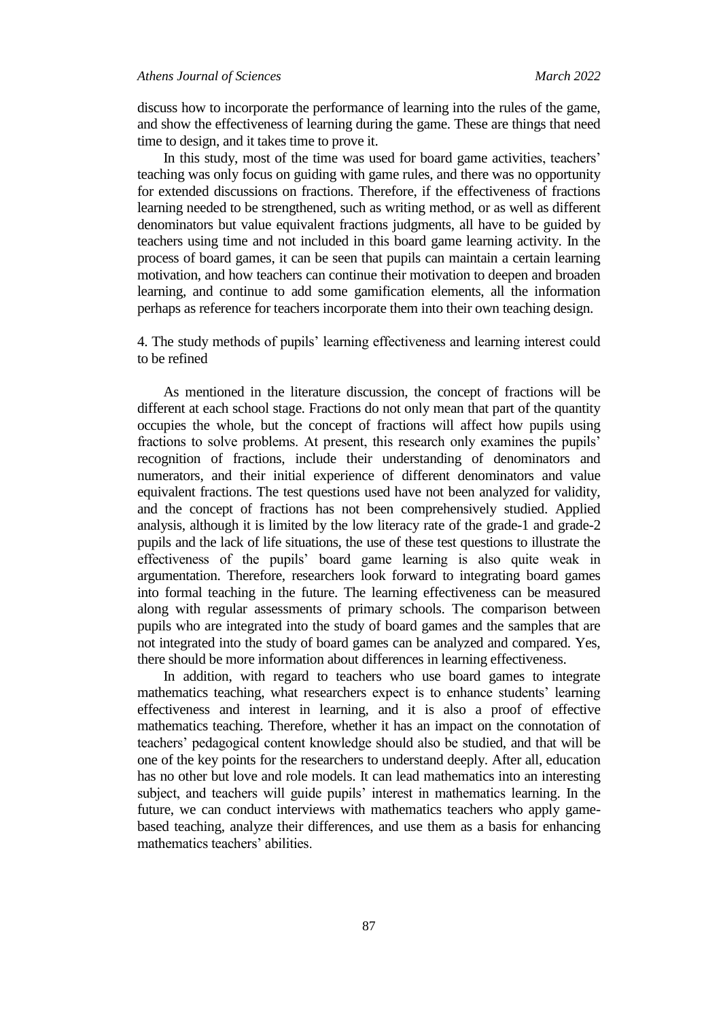### *Athens Journal of Sciences March 2022*

discuss how to incorporate the performance of learning into the rules of the game, and show the effectiveness of learning during the game. These are things that need time to design, and it takes time to prove it.

In this study, most of the time was used for board game activities, teachers' teaching was only focus on guiding with game rules, and there was no opportunity for extended discussions on fractions. Therefore, if the effectiveness of fractions learning needed to be strengthened, such as writing method, or as well as different denominators but value equivalent fractions judgments, all have to be guided by teachers using time and not included in this board game learning activity. In the process of board games, it can be seen that pupils can maintain a certain learning motivation, and how teachers can continue their motivation to deepen and broaden learning, and continue to add some gamification elements, all the information perhaps as reference for teachers incorporate them into their own teaching design.

4. The study methods of pupils" learning effectiveness and learning interest could to be refined

As mentioned in the literature discussion, the concept of fractions will be different at each school stage. Fractions do not only mean that part of the quantity occupies the whole, but the concept of fractions will affect how pupils using fractions to solve problems. At present, this research only examines the pupils' recognition of fractions, include their understanding of denominators and numerators, and their initial experience of different denominators and value equivalent fractions. The test questions used have not been analyzed for validity, and the concept of fractions has not been comprehensively studied. Applied analysis, although it is limited by the low literacy rate of the grade-1 and grade-2 pupils and the lack of life situations, the use of these test questions to illustrate the effectiveness of the pupils" board game learning is also quite weak in argumentation. Therefore, researchers look forward to integrating board games into formal teaching in the future. The learning effectiveness can be measured along with regular assessments of primary schools. The comparison between pupils who are integrated into the study of board games and the samples that are not integrated into the study of board games can be analyzed and compared. Yes, there should be more information about differences in learning effectiveness.

In addition, with regard to teachers who use board games to integrate mathematics teaching, what researchers expect is to enhance students' learning effectiveness and interest in learning, and it is also a proof of effective mathematics teaching. Therefore, whether it has an impact on the connotation of teachers" pedagogical content knowledge should also be studied, and that will be one of the key points for the researchers to understand deeply. After all, education has no other but love and role models. It can lead mathematics into an interesting subject, and teachers will guide pupils' interest in mathematics learning. In the future, we can conduct interviews with mathematics teachers who apply gamebased teaching, analyze their differences, and use them as a basis for enhancing mathematics teachers' abilities.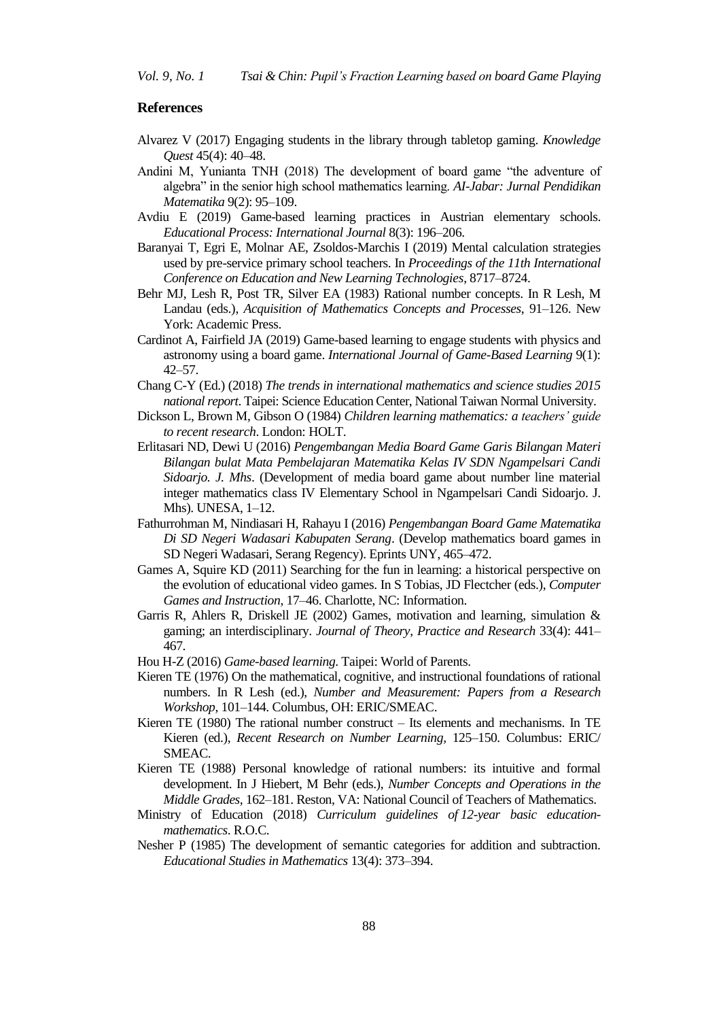*Vol. 9, No. 1 Tsai & Chin: Pupil"s Fraction Learning based on board Game Playing*

#### **References**

- Alvarez V (2017) Engaging students in the library through tabletop gaming. *Knowledge Quest* 45(4): 40–48.
- Andini M, Yunianta TNH (2018) The development of board game "the adventure of algebra" in the senior high school mathematics learning. *AI-Jabar: Jurnal Pendidikan Matematika* 9(2): 95–109.
- Avdiu E (2019) Game-based learning practices in Austrian elementary schools. *Educational Process: International Journal* 8(3): 196–206.
- Baranyai T, Egri E, Molnar AE, Zsoldos-Marchis I (2019) Mental calculation strategies used by pre-service primary school teachers. In *Proceedings of the 11th International Conference on Education and New Learning Technologies*, 8717–8724.
- Behr MJ, Lesh R, Post TR, Silver EA (1983) Rational number concepts. In R Lesh, M Landau (eds.), *Acquisition of Mathematics Concepts and Processes*, 91–126. New York: Academic Press.
- Cardinot A, Fairfield JA (2019) Game-based learning to engage students with physics and astronomy using a board game. *International Journal of Game-Based Learning* 9(1): 42–57.
- Chang C-Y (Ed.) (2018) *The trends in international mathematics and science studies 2015 national report*. Taipei: Science Education Center, National Taiwan Normal University.
- Dickson L, Brown M, Gibson O (1984) *Children learning mathematics: a teachers" guide to recent research*. London: HOLT.
- Erlitasari ND, Dewi U (2016) *Pengembangan Media Board Game Garis Bilangan Materi Bilangan bulat Mata Pembelajaran Matematika Kelas IV SDN Ngampelsari Candi Sidoarjo. J. Mhs*. (Development of media board game about number line material integer mathematics class IV Elementary School in Ngampelsari Candi Sidoarjo. J. Mhs). UNESA, 1–12.
- Fathurrohman M, Nindiasari H, Rahayu I (2016) *Pengembangan Board Game Matematika Di SD Negeri Wadasari Kabupaten Serang*. (Develop mathematics board games in SD Negeri Wadasari, Serang Regency). Eprints UNY, 465–472.
- Games A, Squire KD (2011) Searching for the fun in learning: a historical perspective on the evolution of educational video games. In S Tobias, JD Flectcher (eds.), *Computer Games and Instruction*, 17–46. Charlotte, NC: Information.
- Garris R, Ahlers R, Driskell JE (2002) Games, motivation and learning, simulation & gaming; an interdisciplinary. *Journal of Theory*, *Practice and Research* 33(4): 441– 467.
- Hou H-Z (2016) *Game-based learning*. Taipei: World of Parents.
- Kieren TE (1976) On the mathematical, cognitive, and instructional foundations of rational numbers. In R Lesh (ed.), *Number and Measurement: Papers from a Research Workshop*, 101–144. Columbus, OH: ERIC/SMEAC.
- Kieren TE (1980) The rational number construct  $-$  Its elements and mechanisms. In TE Kieren (ed.), *Recent Research on Number Learning,* 125–150. Columbus: ERIC/ SMEAC.
- Kieren TE (1988) Personal knowledge of rational numbers: its intuitive and formal development. In J Hiebert, M Behr (eds.), *Number Concepts and Operations in the Middle Grades,* 162–181. Reston, VA: National Council of Teachers of Mathematics.
- Ministry of Education (2018) *Curriculum guidelines of 12-year basic educationmathematics*. R.O.C.
- Nesher P (1985) The development of semantic categories for addition and subtraction. *Educational Studies in Mathematics* 13(4): 373–394.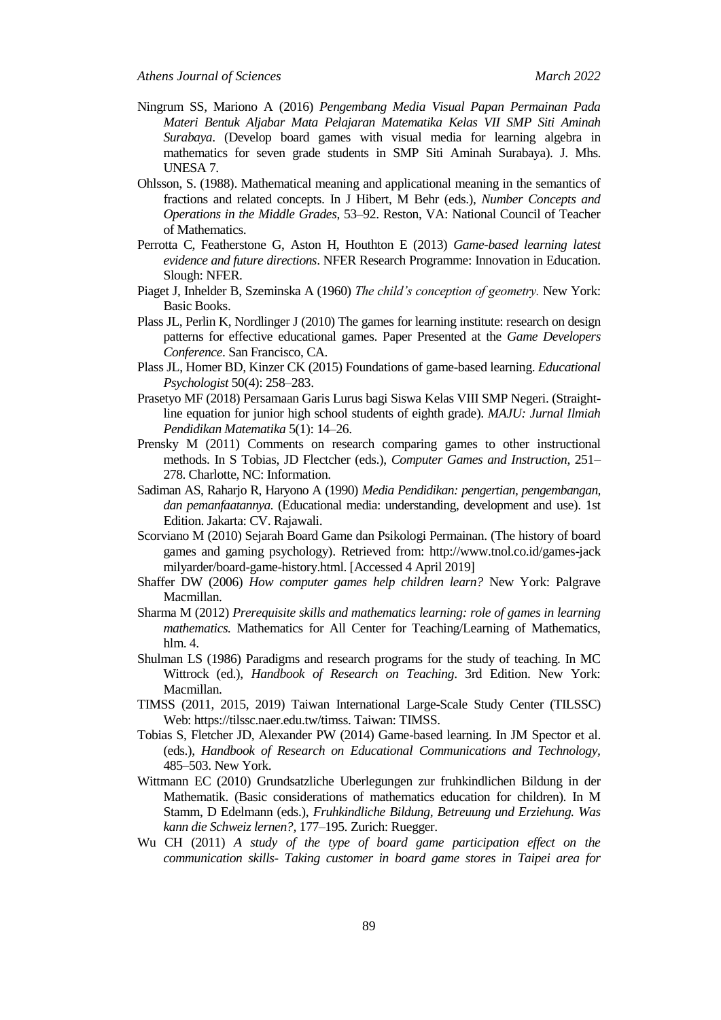- Ningrum SS, Mariono A (2016) *Pengembang Media Visual Papan Permainan Pada Materi Bentuk Aljabar Mata Pelajaran Matematika Kelas VII SMP Siti Aminah Surabaya*. (Develop board games with visual media for learning algebra in mathematics for seven grade students in SMP Siti Aminah Surabaya). J. Mhs. UNESA 7.
- Ohlsson, S. (1988). Mathematical meaning and applicational meaning in the semantics of fractions and related concepts. In J Hibert, M Behr (eds.), *Number Concepts and Operations in the Middle Grades*, 53–92. Reston, VA: National Council of Teacher of Mathematics.
- Perrotta C, Featherstone G, Aston H, Houthton E (2013) *Game-based learning latest evidence and future directions*. NFER Research Programme: Innovation in Education. Slough: NFER.
- Piaget J, Inhelder B, Szeminska A (1960) *The child"s conception of geometry.* New York: Basic Books.
- Plass JL, Perlin K, Nordlinger J (2010) The games for learning institute: research on design patterns for effective educational games. Paper Presented at the *Game Developers Conference*. San Francisco, CA.
- Plass JL, Homer BD, Kinzer CK (2015) Foundations of game-based learning. *Educational Psychologist* 50(4): 258–283.
- Prasetyo MF (2018) Persamaan Garis Lurus bagi Siswa Kelas VIII SMP Negeri. (Straightline equation for junior high school students of eighth grade). *MAJU: Jurnal Ilmiah Pendidikan Matematika* 5(1): 14–26.
- Prensky M (2011) Comments on research comparing games to other instructional methods. In S Tobias, JD Flectcher (eds.), *Computer Games and Instruction*, 251– 278. Charlotte, NC: Information.
- Sadiman AS, Raharjo R, Haryono A (1990) *Media Pendidikan: pengertian, pengembangan, dan pemanfaatannya.* (Educational media: understanding, development and use). 1st Edition. Jakarta: CV. Rajawali.
- Scorviano M (2010) Sejarah Board Game dan Psikologi Permainan. (The history of board games and gaming psychology). Retrieved from: http://www.tnol.co.id/games-jack milyarder/board-game-history.html. [Accessed 4 April 2019]
- Shaffer DW (2006) *How computer games help children learn?* New York: Palgrave Macmillan.
- Sharma M (2012) *Prerequisite skills and mathematics learning: role of games in learning mathematics.* Mathematics for All Center for Teaching/Learning of Mathematics, hlm. 4.
- Shulman LS (1986) Paradigms and research programs for the study of teaching. In MC Wittrock (ed.), *Handbook of Research on Teaching*. 3rd Edition. New York: Macmillan.
- TIMSS (2011, 2015, 2019) Taiwan International Large-Scale Study Center (TILSSC) Web: [https://tilssc.naer.edu.tw/timss.](https://tilssc.naer.edu.tw/timss) Taiwan: TIMSS.
- Tobias S, Fletcher JD, Alexander PW (2014) Game-based learning. In JM Spector et al. (eds.), *Handbook of Research on Educational Communications and Technology,*  485–503. New York.
- Wittmann EC (2010) Grundsatzliche Uberlegungen zur fruhkindlichen Bildung in der Mathematik. (Basic considerations of mathematics education for children). In M Stamm, D Edelmann (eds.), *Fruhkindliche Bildung, Betreuung und Erziehung. Was kann die Schweiz lernen?,* 177–195. Zurich: Ruegger.
- Wu CH (2011) *A study of the type of board game participation effect on the communication skills- Taking customer in board game stores in Taipei area for*